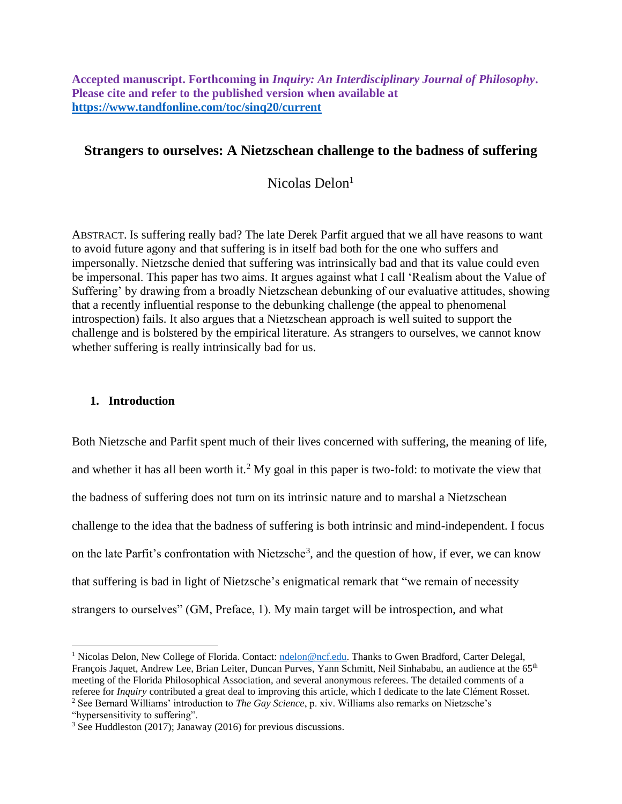**Accepted manuscript. Forthcoming in** *Inquiry: An Interdisciplinary Journal of Philosophy***. Please cite and refer to the published version when available at <https://www.tandfonline.com/toc/sinq20/current>**

# **Strangers to ourselves: A Nietzschean challenge to the badness of suffering**

Nicolas Delon<sup>1</sup>

ABSTRACT. Is suffering really bad? The late Derek Parfit argued that we all have reasons to want to avoid future agony and that suffering is in itself bad both for the one who suffers and impersonally. Nietzsche denied that suffering was intrinsically bad and that its value could even be impersonal. This paper has two aims. It argues against what I call 'Realism about the Value of Suffering' by drawing from a broadly Nietzschean debunking of our evaluative attitudes, showing that a recently influential response to the debunking challenge (the appeal to phenomenal introspection) fails. It also argues that a Nietzschean approach is well suited to support the challenge and is bolstered by the empirical literature. As strangers to ourselves, we cannot know whether suffering is really intrinsically bad for us.

## **1. Introduction**

Both Nietzsche and Parfit spent much of their lives concerned with suffering, the meaning of life, and whether it has all been worth it.<sup>2</sup> My goal in this paper is two-fold: to motivate the view that the badness of suffering does not turn on its intrinsic nature and to marshal a Nietzschean challenge to the idea that the badness of suffering is both intrinsic and mind-independent. I focus on the late Parfit's confrontation with Nietzsche<sup>3</sup>, and the question of how, if ever, we can know that suffering is bad in light of Nietzsche's enigmatical remark that "we remain of necessity strangers to ourselves" (GM, Preface, 1). My main target will be introspection, and what

<sup>&</sup>lt;sup>1</sup> Nicolas Delon, New College of Florida. Contact: [ndelon@ncf.edu.](mailto:ndelon@ncf.edu) Thanks to Gwen Bradford, Carter Delegal, François Jaquet, Andrew Lee, Brian Leiter, Duncan Purves, Yann Schmitt, Neil Sinhababu, an audience at the 65<sup>th</sup> meeting of the Florida Philosophical Association, and several anonymous referees. The detailed comments of a referee for *Inquiry* contributed a great deal to improving this article, which I dedicate to the late Clément Rosset. <sup>2</sup> See Bernard Williams' introduction to *The Gay Science*, p. xiv. Williams also remarks on Nietzsche's

<sup>&</sup>quot;hypersensitivity to suffering".

<sup>3</sup> See Huddleston (2017); Janaway (2016) for previous discussions.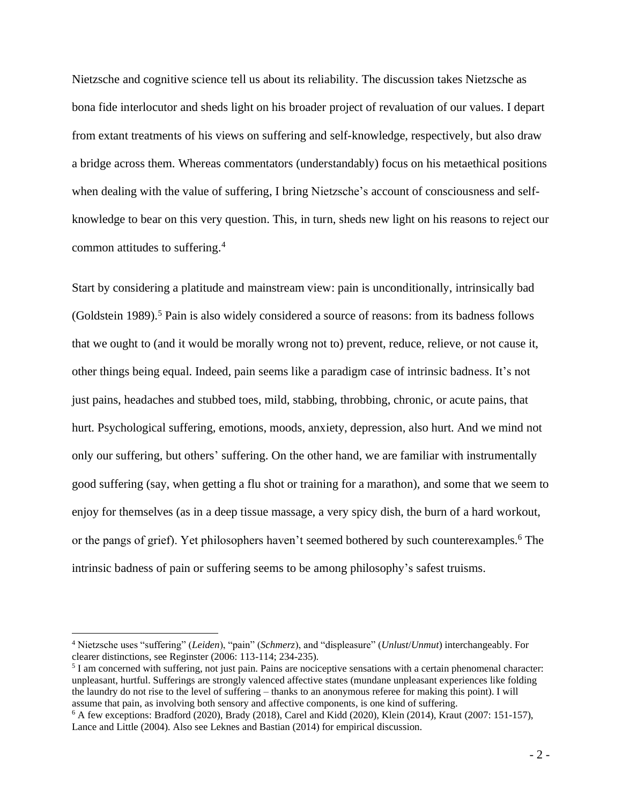Nietzsche and cognitive science tell us about its reliability. The discussion takes Nietzsche as bona fide interlocutor and sheds light on his broader project of revaluation of our values. I depart from extant treatments of his views on suffering and self-knowledge, respectively, but also draw a bridge across them. Whereas commentators (understandably) focus on his metaethical positions when dealing with the value of suffering, I bring Nietzsche's account of consciousness and selfknowledge to bear on this very question. This, in turn, sheds new light on his reasons to reject our common attitudes to suffering. 4

Start by considering a platitude and mainstream view: pain is unconditionally, intrinsically bad (Goldstein 1989).<sup>5</sup> Pain is also widely considered a source of reasons: from its badness follows that we ought to (and it would be morally wrong not to) prevent, reduce, relieve, or not cause it, other things being equal. Indeed, pain seems like a paradigm case of intrinsic badness. It's not just pains, headaches and stubbed toes, mild, stabbing, throbbing, chronic, or acute pains, that hurt. Psychological suffering, emotions, moods, anxiety, depression, also hurt. And we mind not only our suffering, but others' suffering. On the other hand, we are familiar with instrumentally good suffering (say, when getting a flu shot or training for a marathon), and some that we seem to enjoy for themselves (as in a deep tissue massage, a very spicy dish, the burn of a hard workout, or the pangs of grief). Yet philosophers haven't seemed bothered by such counterexamples.<sup>6</sup> The intrinsic badness of pain or suffering seems to be among philosophy's safest truisms.

<sup>4</sup> Nietzsche uses "suffering" (*Leiden*), "pain" (*Schmerz*), and "displeasure" (*Unlust*/*Unmut*) interchangeably. For clearer distinctions, see Reginster (2006: 113-114; 234-235).

<sup>&</sup>lt;sup>5</sup> I am concerned with suffering, not just pain. Pains are nociceptive sensations with a certain phenomenal character: unpleasant, hurtful. Sufferings are strongly valenced affective states (mundane unpleasant experiences like folding the laundry do not rise to the level of suffering – thanks to an anonymous referee for making this point). I will assume that pain, as involving both sensory and affective components, is one kind of suffering.

<sup>6</sup> A few exceptions: Bradford (2020), Brady (2018), Carel and Kidd (2020), Klein (2014), Kraut (2007: 151-157), Lance and Little (2004). Also see Leknes and Bastian (2014) for empirical discussion.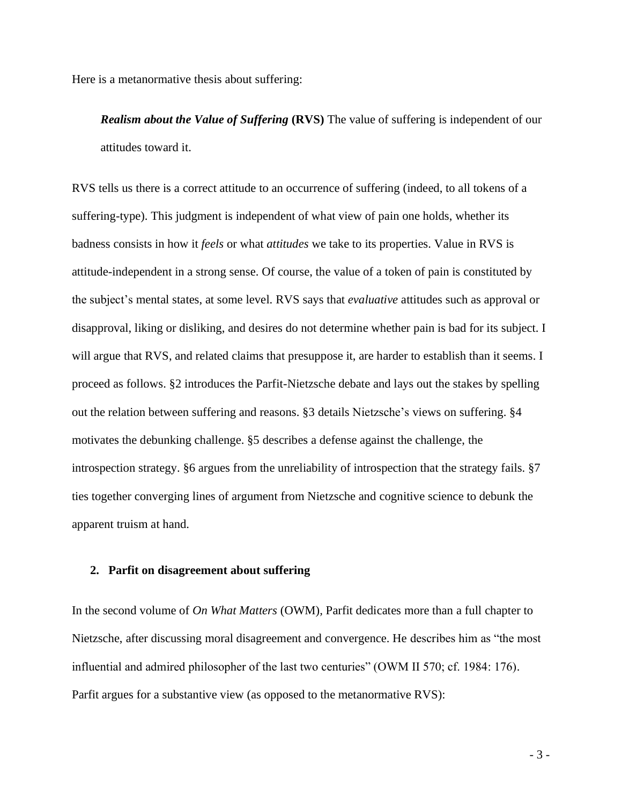Here is a metanormative thesis about suffering:

*Realism about the Value of Suffering* **(RVS)** The value of suffering is independent of our attitudes toward it.

RVS tells us there is a correct attitude to an occurrence of suffering (indeed, to all tokens of a suffering-type). This judgment is independent of what view of pain one holds, whether its badness consists in how it *feels* or what *attitudes* we take to its properties. Value in RVS is attitude-independent in a strong sense. Of course, the value of a token of pain is constituted by the subject's mental states, at some level. RVS says that *evaluative* attitudes such as approval or disapproval, liking or disliking, and desires do not determine whether pain is bad for its subject. I will argue that RVS, and related claims that presuppose it, are harder to establish than it seems. I proceed as follows. §2 introduces the Parfit-Nietzsche debate and lays out the stakes by spelling out the relation between suffering and reasons. §3 details Nietzsche's views on suffering. §4 motivates the debunking challenge. §5 describes a defense against the challenge, the introspection strategy. §6 argues from the unreliability of introspection that the strategy fails. §7 ties together converging lines of argument from Nietzsche and cognitive science to debunk the apparent truism at hand.

## **2. Parfit on disagreement about suffering**

In the second volume of *On What Matters* (OWM)*,* Parfit dedicates more than a full chapter to Nietzsche, after discussing moral disagreement and convergence. He describes him as "the most influential and admired philosopher of the last two centuries" (OWM II 570; cf. 1984: 176). Parfit argues for a substantive view (as opposed to the metanormative RVS):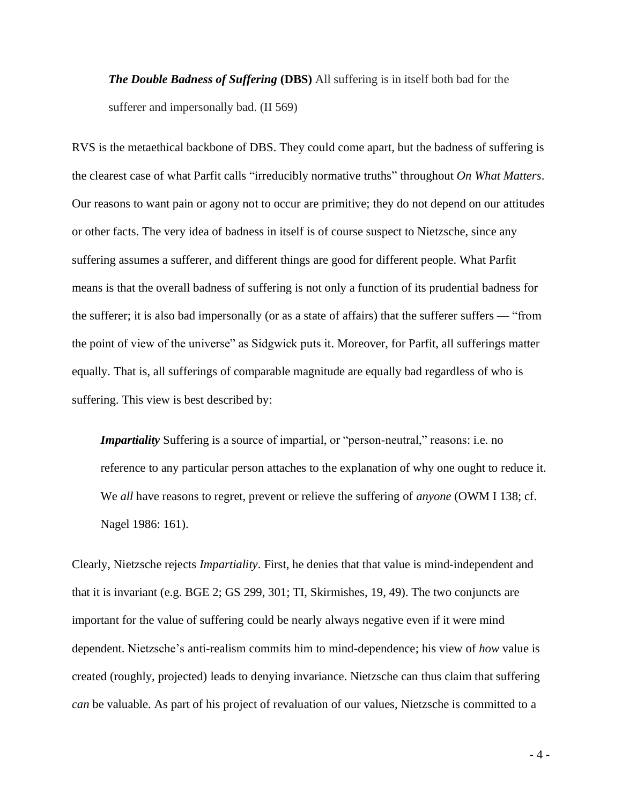*The Double Badness of Suffering* (DBS) All suffering is in itself both bad for the sufferer and impersonally bad. (II 569)

RVS is the metaethical backbone of DBS. They could come apart, but the badness of suffering is the clearest case of what Parfit calls "irreducibly normative truths" throughout *On What Matters*. Our reasons to want pain or agony not to occur are primitive; they do not depend on our attitudes or other facts. The very idea of badness in itself is of course suspect to Nietzsche, since any suffering assumes a sufferer, and different things are good for different people. What Parfit means is that the overall badness of suffering is not only a function of its prudential badness for the sufferer; it is also bad impersonally (or as a state of affairs) that the sufferer suffers — "from the point of view of the universe" as Sidgwick puts it. Moreover, for Parfit, all sufferings matter equally. That is, all sufferings of comparable magnitude are equally bad regardless of who is suffering. This view is best described by:

*Impartiality* Suffering is a source of impartial, or "person-neutral," reasons: i.e. no reference to any particular person attaches to the explanation of why one ought to reduce it. We *all* have reasons to regret, prevent or relieve the suffering of *anyone* (OWM I 138; cf. Nagel 1986: 161).

Clearly, Nietzsche rejects *Impartiality*. First, he denies that that value is mind-independent and that it is invariant (e.g. BGE 2; GS 299, 301; TI, Skirmishes, 19, 49). The two conjuncts are important for the value of suffering could be nearly always negative even if it were mind dependent. Nietzsche's anti-realism commits him to mind-dependence; his view of *how* value is created (roughly, projected) leads to denying invariance. Nietzsche can thus claim that suffering *can* be valuable. As part of his project of revaluation of our values, Nietzsche is committed to a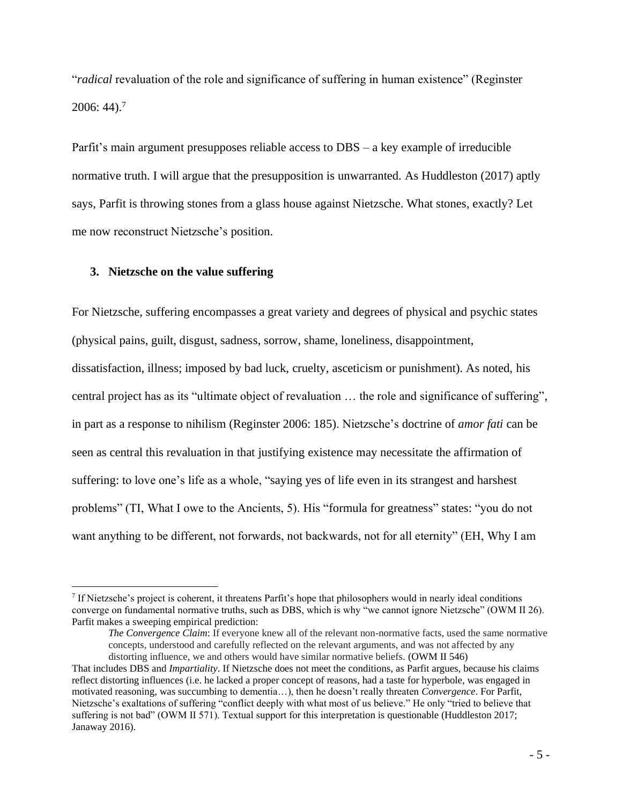"*radical* revaluation of the role and significance of suffering in human existence" (Reginster  $2006:44$ ).<sup>7</sup>

Parfit's main argument presupposes reliable access to DBS – a key example of irreducible normative truth. I will argue that the presupposition is unwarranted. As Huddleston (2017) aptly says, Parfit is throwing stones from a glass house against Nietzsche. What stones, exactly? Let me now reconstruct Nietzsche's position.

## **3. Nietzsche on the value suffering**

For Nietzsche, suffering encompasses a great variety and degrees of physical and psychic states (physical pains, guilt, disgust, sadness, sorrow, shame, loneliness, disappointment, dissatisfaction, illness; imposed by bad luck, cruelty, asceticism or punishment). As noted, his central project has as its "ultimate object of revaluation … the role and significance of suffering", in part as a response to nihilism (Reginster 2006: 185). Nietzsche's doctrine of *amor fati* can be seen as central this revaluation in that justifying existence may necessitate the affirmation of suffering: to love one's life as a whole, "saying yes of life even in its strangest and harshest problems" (TI, What I owe to the Ancients, 5). His "formula for greatness" states: "you do not want anything to be different, not forwards, not backwards, not for all eternity" (EH, Why I am

<sup>7</sup> If Nietzsche's project is coherent, it threatens Parfit's hope that philosophers would in nearly ideal conditions converge on fundamental normative truths, such as DBS, which is why "we cannot ignore Nietzsche" (OWM II 26). Parfit makes a sweeping empirical prediction:

*The Convergence Claim*: If everyone knew all of the relevant non-normative facts, used the same normative concepts, understood and carefully reflected on the relevant arguments, and was not affected by any distorting influence, we and others would have similar normative beliefs. (OWM II 546)

That includes DBS and *Impartiality*. If Nietzsche does not meet the conditions, as Parfit argues, because his claims reflect distorting influences (i.e. he lacked a proper concept of reasons, had a taste for hyperbole, was engaged in motivated reasoning, was succumbing to dementia…), then he doesn't really threaten *Convergence*. For Parfit, Nietzsche's exaltations of suffering "conflict deeply with what most of us believe." He only "tried to believe that suffering is not bad" (OWM II 571). Textual support for this interpretation is questionable (Huddleston 2017; Janaway 2016).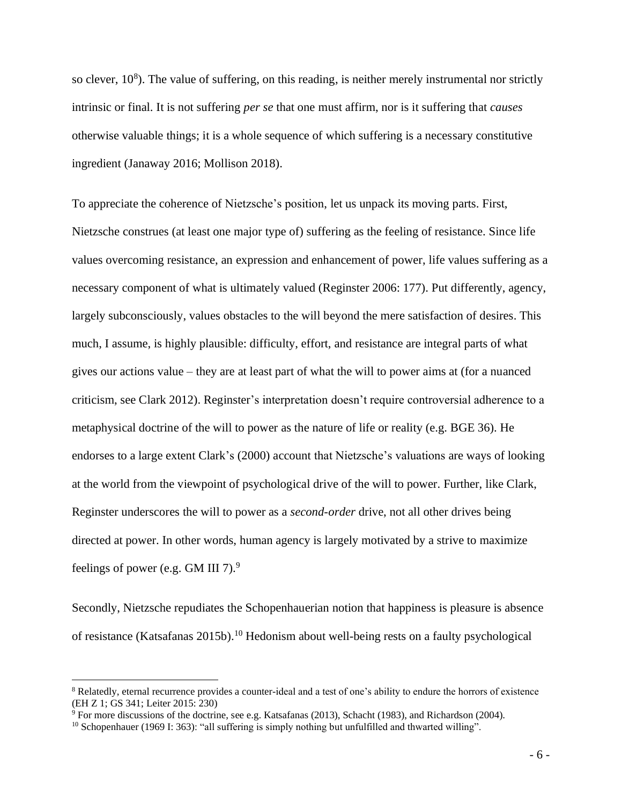so clever,  $10<sup>8</sup>$ ). The value of suffering, on this reading, is neither merely instrumental nor strictly intrinsic or final. It is not suffering *per se* that one must affirm, nor is it suffering that *causes* otherwise valuable things; it is a whole sequence of which suffering is a necessary constitutive ingredient (Janaway 2016; Mollison 2018).

To appreciate the coherence of Nietzsche's position, let us unpack its moving parts. First, Nietzsche construes (at least one major type of) suffering as the feeling of resistance. Since life values overcoming resistance, an expression and enhancement of power, life values suffering as a necessary component of what is ultimately valued (Reginster 2006: 177). Put differently, agency, largely subconsciously, values obstacles to the will beyond the mere satisfaction of desires. This much, I assume, is highly plausible: difficulty, effort, and resistance are integral parts of what gives our actions value – they are at least part of what the will to power aims at (for a nuanced criticism, see Clark 2012). Reginster's interpretation doesn't require controversial adherence to a metaphysical doctrine of the will to power as the nature of life or reality (e.g. BGE 36). He endorses to a large extent Clark's (2000) account that Nietzsche's valuations are ways of looking at the world from the viewpoint of psychological drive of the will to power. Further, like Clark, Reginster underscores the will to power as a *second-order* drive, not all other drives being directed at power. In other words, human agency is largely motivated by a strive to maximize feelings of power (e.g. GM III 7).<sup>9</sup>

Secondly, Nietzsche repudiates the Schopenhauerian notion that happiness is pleasure is absence of resistance (Katsafanas 2015b). <sup>10</sup> Hedonism about well-being rests on a faulty psychological

<sup>&</sup>lt;sup>8</sup> Relatedly, eternal recurrence provides a counter-ideal and a test of one's ability to endure the horrors of existence (EH Z 1; GS 341; Leiter 2015: 230)

<sup>9</sup> For more discussions of the doctrine, see e.g. Katsafanas (2013), Schacht (1983), and Richardson (2004).

<sup>&</sup>lt;sup>10</sup> Schopenhauer (1969 I: 363): "all suffering is simply nothing but unfulfilled and thwarted willing".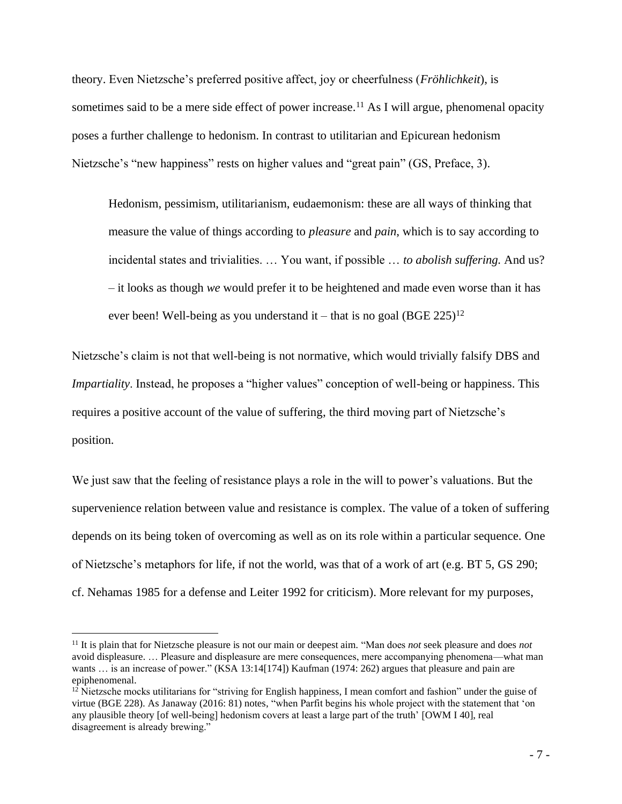theory. Even Nietzsche's preferred positive affect, joy or cheerfulness (*Fröhlichkeit*), is sometimes said to be a mere side effect of power increase.<sup>11</sup> As I will argue, phenomenal opacity poses a further challenge to hedonism. In contrast to utilitarian and Epicurean hedonism Nietzsche's "new happiness" rests on higher values and "great pain" (GS, Preface, 3).

Hedonism, pessimism, utilitarianism, eudaemonism: these are all ways of thinking that measure the value of things according to *pleasure* and *pain*, which is to say according to incidental states and trivialities. … You want, if possible … *to abolish suffering.* And us? – it looks as though *we* would prefer it to be heightened and made even worse than it has ever been! Well-being as you understand it – that is no goal (BGE  $225$ )<sup>12</sup>

Nietzsche's claim is not that well-being is not normative, which would trivially falsify DBS and *Impartiality*. Instead, he proposes a "higher values" conception of well-being or happiness. This requires a positive account of the value of suffering, the third moving part of Nietzsche's position.

We just saw that the feeling of resistance plays a role in the will to power's valuations. But the supervenience relation between value and resistance is complex. The value of a token of suffering depends on its being token of overcoming as well as on its role within a particular sequence. One of Nietzsche's metaphors for life, if not the world, was that of a work of art (e.g. BT 5, GS 290; cf. Nehamas 1985 for a defense and Leiter 1992 for criticism). More relevant for my purposes,

<sup>11</sup> It is plain that for Nietzsche pleasure is not our main or deepest aim. "Man does *not* seek pleasure and does *not* avoid displeasure. … Pleasure and displeasure are mere consequences, mere accompanying phenomena––what man wants ... is an increase of power." (KSA 13:14[174]) Kaufman (1974: 262) argues that pleasure and pain are epiphenomenal.

 $12$  Nietzsche mocks utilitarians for "striving for English happiness, I mean comfort and fashion" under the guise of virtue (BGE 228). As Janaway (2016: 81) notes, "when Parfit begins his whole project with the statement that 'on any plausible theory [of well-being] hedonism covers at least a large part of the truth' [OWM I 40], real disagreement is already brewing."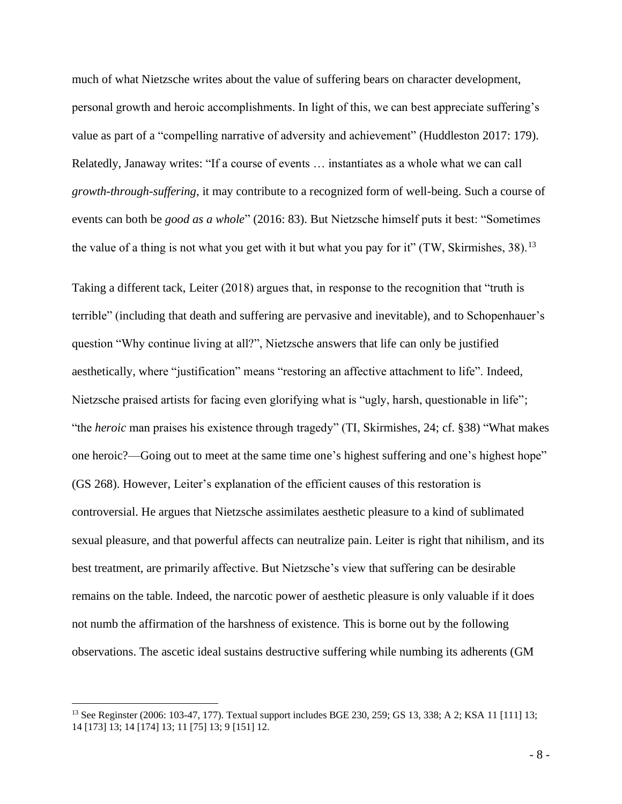much of what Nietzsche writes about the value of suffering bears on character development, personal growth and heroic accomplishments. In light of this, we can best appreciate suffering's value as part of a "compelling narrative of adversity and achievement" (Huddleston 2017: 179). Relatedly, Janaway writes: "If a course of events … instantiates as a whole what we can call *growth*-*through*-*suffering*, it may contribute to a recognized form of well-being. Such a course of events can both be *good as a whole*" (2016: 83). But Nietzsche himself puts it best: "Sometimes the value of a thing is not what you get with it but what you pay for it" (TW, Skirmishes, 38).<sup>13</sup>

Taking a different tack, Leiter (2018) argues that, in response to the recognition that "truth is terrible" (including that death and suffering are pervasive and inevitable), and to Schopenhauer's question "Why continue living at all?", Nietzsche answers that life can only be justified aesthetically, where "justification" means "restoring an affective attachment to life". Indeed, Nietzsche praised artists for facing even glorifying what is "ugly, harsh, questionable in life"; "the *heroic* man praises his existence through tragedy" (TI, Skirmishes, 24; cf. §38) "What makes one heroic?—Going out to meet at the same time one's highest suffering and one's highest hope" (GS 268). However, Leiter's explanation of the efficient causes of this restoration is controversial. He argues that Nietzsche assimilates aesthetic pleasure to a kind of sublimated sexual pleasure, and that powerful affects can neutralize pain. Leiter is right that nihilism, and its best treatment, are primarily affective. But Nietzsche's view that suffering can be desirable remains on the table. Indeed, the narcotic power of aesthetic pleasure is only valuable if it does not numb the affirmation of the harshness of existence. This is borne out by the following observations. The ascetic ideal sustains destructive suffering while numbing its adherents (GM

<sup>13</sup> See Reginster (2006: 103-47, 177). Textual support includes BGE 230, 259; GS 13, 338; A 2; KSA 11 [111] 13; 14 [173] 13; 14 [174] 13; 11 [75] 13; 9 [151] 12.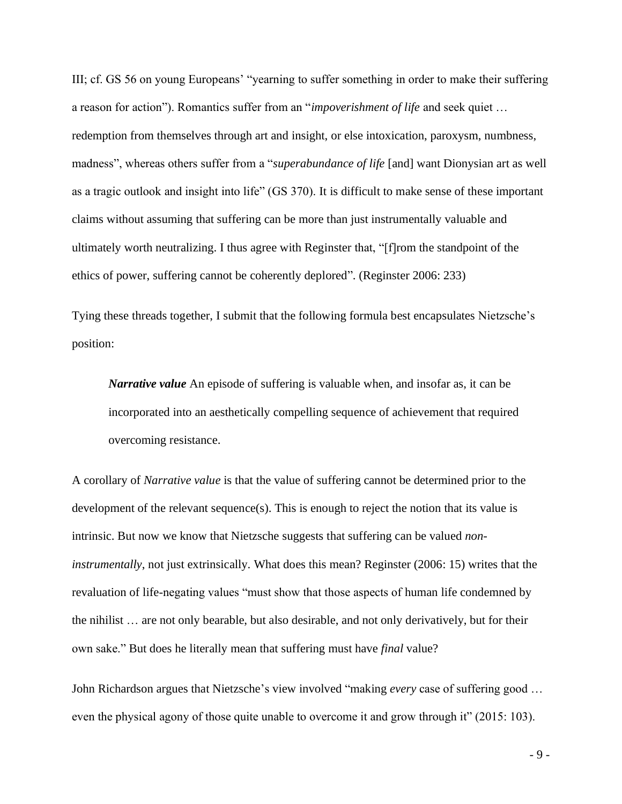III; cf. GS 56 on young Europeans' "yearning to suffer something in order to make their suffering a reason for action"). Romantics suffer from an "*impoverishment of life* and seek quiet … redemption from themselves through art and insight, or else intoxication, paroxysm, numbness, madness", whereas others suffer from a "*superabundance of life* [and] want Dionysian art as well as a tragic outlook and insight into life" (GS 370). It is difficult to make sense of these important claims without assuming that suffering can be more than just instrumentally valuable and ultimately worth neutralizing. I thus agree with Reginster that, "[f]rom the standpoint of the ethics of power, suffering cannot be coherently deplored". (Reginster 2006: 233)

Tying these threads together, I submit that the following formula best encapsulates Nietzsche's position:

*Narrative value* An episode of suffering is valuable when, and insofar as, it can be incorporated into an aesthetically compelling sequence of achievement that required overcoming resistance.

A corollary of *Narrative value* is that the value of suffering cannot be determined prior to the development of the relevant sequence(s). This is enough to reject the notion that its value is intrinsic. But now we know that Nietzsche suggests that suffering can be valued *noninstrumentally*, not just extrinsically. What does this mean? Reginster (2006: 15) writes that the revaluation of life-negating values "must show that those aspects of human life condemned by the nihilist … are not only bearable, but also desirable, and not only derivatively, but for their own sake." But does he literally mean that suffering must have *final* value?

John Richardson argues that Nietzsche's view involved "making *every* case of suffering good … even the physical agony of those quite unable to overcome it and grow through it" (2015: 103).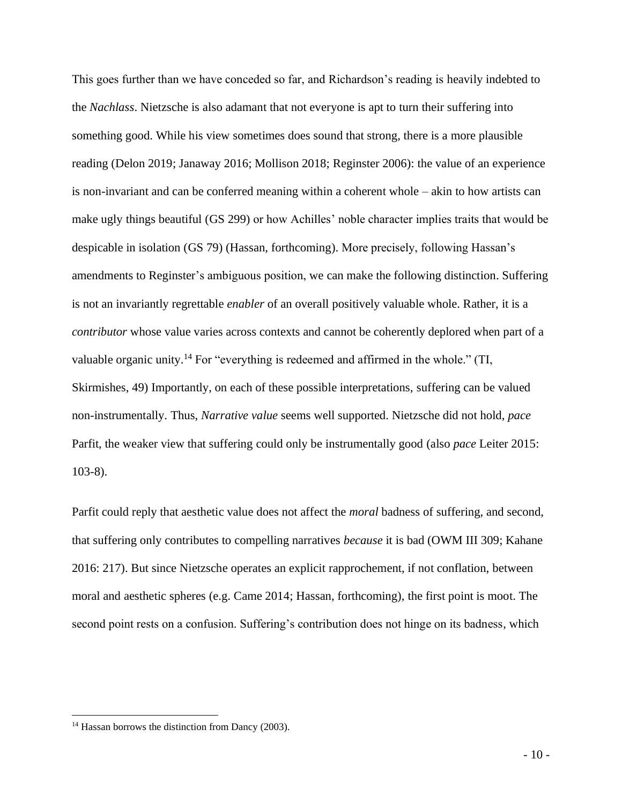This goes further than we have conceded so far, and Richardson's reading is heavily indebted to the *Nachlass*. Nietzsche is also adamant that not everyone is apt to turn their suffering into something good. While his view sometimes does sound that strong, there is a more plausible reading (Delon 2019; Janaway 2016; Mollison 2018; Reginster 2006): the value of an experience is non-invariant and can be conferred meaning within a coherent whole – akin to how artists can make ugly things beautiful (GS 299) or how Achilles' noble character implies traits that would be despicable in isolation (GS 79) (Hassan, forthcoming). More precisely, following Hassan's amendments to Reginster's ambiguous position, we can make the following distinction. Suffering is not an invariantly regrettable *enabler* of an overall positively valuable whole. Rather, it is a *contributor* whose value varies across contexts and cannot be coherently deplored when part of a valuable organic unity.<sup>14</sup> For "everything is redeemed and affirmed in the whole." (TI, Skirmishes, 49) Importantly, on each of these possible interpretations, suffering can be valued non-instrumentally. Thus, *Narrative value* seems well supported. Nietzsche did not hold, *pace* Parfit, the weaker view that suffering could only be instrumentally good (also *pace* Leiter 2015: 103-8).

Parfit could reply that aesthetic value does not affect the *moral* badness of suffering, and second, that suffering only contributes to compelling narratives *because* it is bad (OWM III 309; Kahane 2016: 217). But since Nietzsche operates an explicit rapprochement, if not conflation, between moral and aesthetic spheres (e.g. Came 2014; Hassan, forthcoming), the first point is moot. The second point rests on a confusion. Suffering's contribution does not hinge on its badness, which

<sup>&</sup>lt;sup>14</sup> Hassan borrows the distinction from Dancy (2003).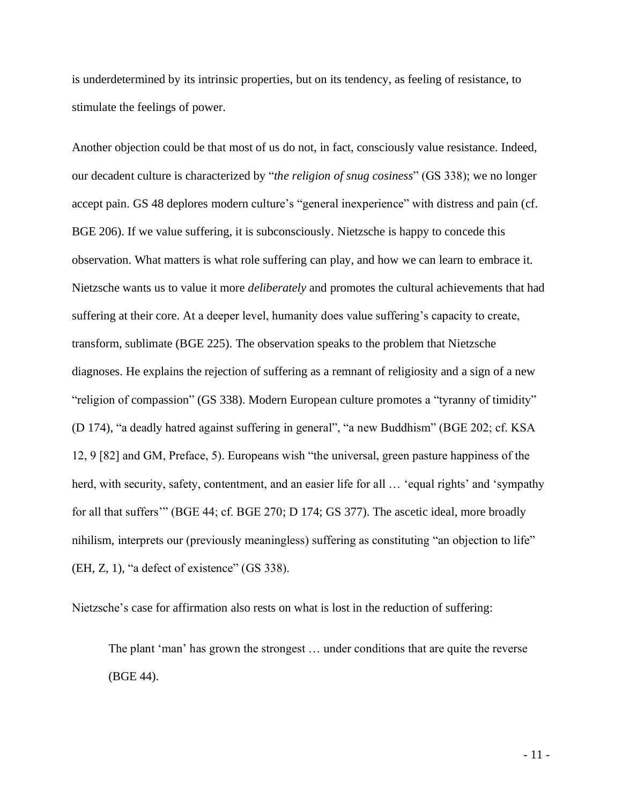is underdetermined by its intrinsic properties, but on its tendency, as feeling of resistance, to stimulate the feelings of power.

Another objection could be that most of us do not, in fact, consciously value resistance. Indeed, our decadent culture is characterized by "*the religion of snug cosiness*" (GS 338); we no longer accept pain. GS 48 deplores modern culture's "general inexperience" with distress and pain (cf. BGE 206). If we value suffering, it is subconsciously. Nietzsche is happy to concede this observation. What matters is what role suffering can play, and how we can learn to embrace it. Nietzsche wants us to value it more *deliberately* and promotes the cultural achievements that had suffering at their core. At a deeper level, humanity does value suffering's capacity to create, transform, sublimate (BGE 225). The observation speaks to the problem that Nietzsche diagnoses. He explains the rejection of suffering as a remnant of religiosity and a sign of a new "religion of compassion" (GS 338). Modern European culture promotes a "tyranny of timidity" (D 174), "a deadly hatred against suffering in general", "a new Buddhism" (BGE 202; cf. KSA 12, 9 [82] and GM, Preface, 5). Europeans wish "the universal, green pasture happiness of the herd, with security, safety, contentment, and an easier life for all ... 'equal rights' and 'sympathy for all that suffers'" (BGE 44; cf. BGE 270; D 174; GS 377). The ascetic ideal, more broadly nihilism, interprets our (previously meaningless) suffering as constituting "an objection to life" (EH, Z, 1), "a defect of existence" (GS 338).

Nietzsche's case for affirmation also rests on what is lost in the reduction of suffering:

The plant 'man' has grown the strongest … under conditions that are quite the reverse (BGE 44).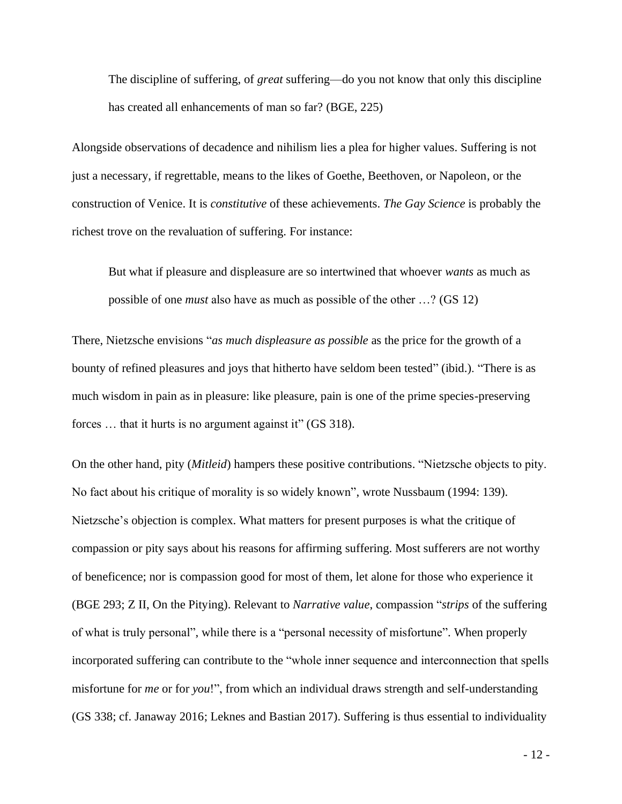The discipline of suffering, of *great* suffering—do you not know that only this discipline has created all enhancements of man so far? (BGE, 225)

Alongside observations of decadence and nihilism lies a plea for higher values. Suffering is not just a necessary, if regrettable, means to the likes of Goethe, Beethoven, or Napoleon, or the construction of Venice. It is *constitutive* of these achievements. *The Gay Science* is probably the richest trove on the revaluation of suffering. For instance:

But what if pleasure and displeasure are so intertwined that whoever *wants* as much as possible of one *must* also have as much as possible of the other …? (GS 12)

There, Nietzsche envisions "*as much displeasure as possible* as the price for the growth of a bounty of refined pleasures and joys that hitherto have seldom been tested" (ibid.). "There is as much wisdom in pain as in pleasure: like pleasure, pain is one of the prime species-preserving forces ... that it hurts is no argument against it" (GS 318).

On the other hand, pity (*Mitleid*) hampers these positive contributions. "Nietzsche objects to pity. No fact about his critique of morality is so widely known", wrote Nussbaum (1994: 139). Nietzsche's objection is complex. What matters for present purposes is what the critique of compassion or pity says about his reasons for affirming suffering. Most sufferers are not worthy of beneficence; nor is compassion good for most of them, let alone for those who experience it (BGE 293; Z II, On the Pitying). Relevant to *Narrative value*, compassion "*strips* of the suffering of what is truly personal", while there is a "personal necessity of misfortune". When properly incorporated suffering can contribute to the "whole inner sequence and interconnection that spells misfortune for *me* or for *you*!", from which an individual draws strength and self-understanding (GS 338; cf. Janaway 2016; Leknes and Bastian 2017). Suffering is thus essential to individuality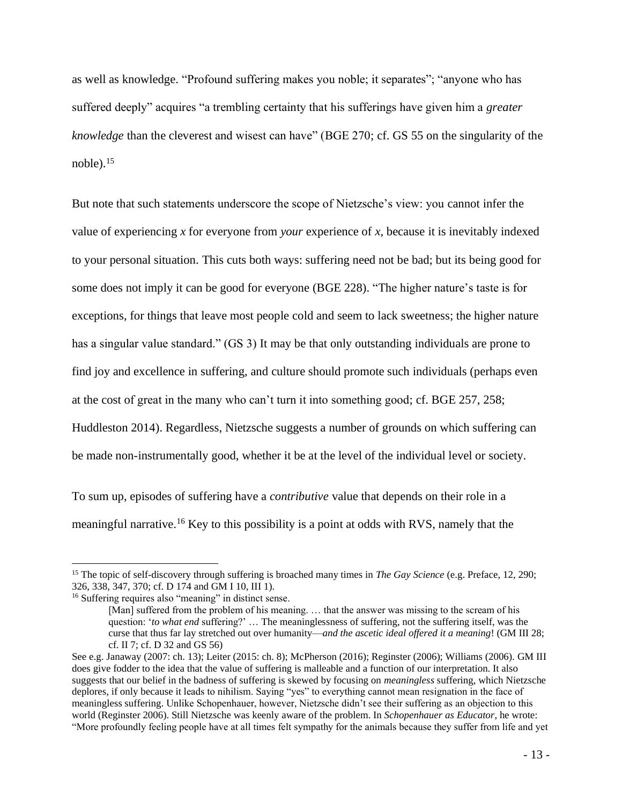as well as knowledge. "Profound suffering makes you noble; it separates"; "anyone who has suffered deeply" acquires "a trembling certainty that his sufferings have given him a *greater knowledge* than the cleverest and wisest can have" (BGE 270; cf. GS 55 on the singularity of the noble). 15

But note that such statements underscore the scope of Nietzsche's view: you cannot infer the value of experiencing *x* for everyone from *your* experience of *x*, because it is inevitably indexed to your personal situation. This cuts both ways: suffering need not be bad; but its being good for some does not imply it can be good for everyone (BGE 228). "The higher nature's taste is for exceptions, for things that leave most people cold and seem to lack sweetness; the higher nature has a singular value standard." (GS 3) It may be that only outstanding individuals are prone to find joy and excellence in suffering, and culture should promote such individuals (perhaps even at the cost of great in the many who can't turn it into something good; cf. BGE 257, 258; Huddleston 2014). Regardless, Nietzsche suggests a number of grounds on which suffering can be made non-instrumentally good, whether it be at the level of the individual level or society.

To sum up, episodes of suffering have a *contributive* value that depends on their role in a meaningful narrative.<sup>16</sup> Key to this possibility is a point at odds with RVS, namely that the

<sup>15</sup> The topic of self-discovery through suffering is broached many times in *The Gay Science* (e.g. Preface, 12, 290; 326, 338, 347, 370; cf. D 174 and GM I 10, III 1).

<sup>&</sup>lt;sup>16</sup> Suffering requires also "meaning" in distinct sense.

<sup>[</sup>Man] suffered from the problem of his meaning. ... that the answer was missing to the scream of his question: '*to what end* suffering?' … The meaninglessness of suffering, not the suffering itself, was the curse that thus far lay stretched out over humanity—*and the ascetic ideal offered it a meaning*! (GM III 28; cf. II 7; cf. D 32 and GS 56)

See e.g. Janaway (2007: ch. 13); Leiter (2015: ch. 8); McPherson (2016); Reginster (2006); Williams (2006). GM III does give fodder to the idea that the value of suffering is malleable and a function of our interpretation. It also suggests that our belief in the badness of suffering is skewed by focusing on *meaningless* suffering, which Nietzsche deplores, if only because it leads to nihilism. Saying "yes" to everything cannot mean resignation in the face of meaningless suffering. Unlike Schopenhauer, however, Nietzsche didn't see their suffering as an objection to this world (Reginster 2006). Still Nietzsche was keenly aware of the problem. In *Schopenhauer as Educator*, he wrote: "More profoundly feeling people have at all times felt sympathy for the animals because they suffer from life and yet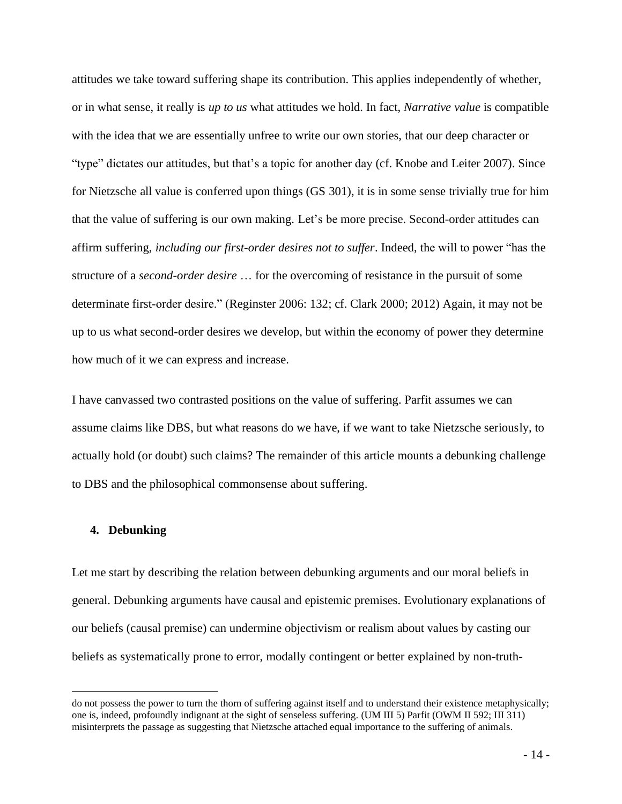attitudes we take toward suffering shape its contribution. This applies independently of whether, or in what sense, it really is *up to us* what attitudes we hold. In fact, *Narrative value* is compatible with the idea that we are essentially unfree to write our own stories, that our deep character or "type" dictates our attitudes, but that's a topic for another day (cf. Knobe and Leiter 2007). Since for Nietzsche all value is conferred upon things (GS 301), it is in some sense trivially true for him that the value of suffering is our own making. Let's be more precise. Second-order attitudes can affirm suffering, *including our first-order desires not to suffer*. Indeed, the will to power "has the structure of a *second-order desire* … for the overcoming of resistance in the pursuit of some determinate first-order desire." (Reginster 2006: 132; cf. Clark 2000; 2012) Again, it may not be up to us what second-order desires we develop, but within the economy of power they determine how much of it we can express and increase.

I have canvassed two contrasted positions on the value of suffering. Parfit assumes we can assume claims like DBS, but what reasons do we have, if we want to take Nietzsche seriously, to actually hold (or doubt) such claims? The remainder of this article mounts a debunking challenge to DBS and the philosophical commonsense about suffering.

## **4. Debunking**

Let me start by describing the relation between debunking arguments and our moral beliefs in general. Debunking arguments have causal and epistemic premises. Evolutionary explanations of our beliefs (causal premise) can undermine objectivism or realism about values by casting our beliefs as systematically prone to error, modally contingent or better explained by non-truth-

do not possess the power to turn the thorn of suffering against itself and to understand their existence metaphysically; one is, indeed, profoundly indignant at the sight of senseless suffering. (UM III 5) Parfit (OWM II 592; III 311) misinterprets the passage as suggesting that Nietzsche attached equal importance to the suffering of animals.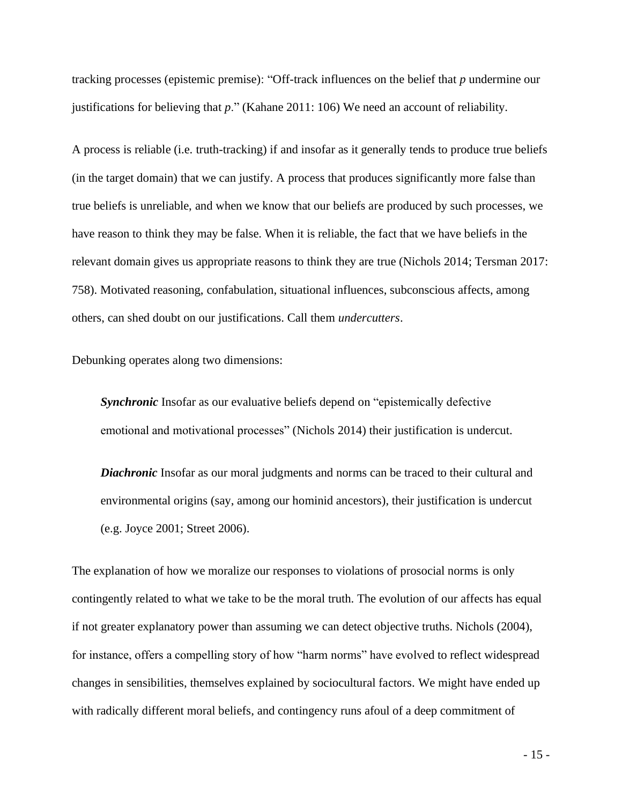tracking processes (epistemic premise): "Off-track influences on the belief that *p* undermine our justifications for believing that *p*." (Kahane 2011: 106) We need an account of reliability.

A process is reliable (i.e. truth-tracking) if and insofar as it generally tends to produce true beliefs (in the target domain) that we can justify. A process that produces significantly more false than true beliefs is unreliable, and when we know that our beliefs are produced by such processes, we have reason to think they may be false. When it is reliable, the fact that we have beliefs in the relevant domain gives us appropriate reasons to think they are true (Nichols 2014; Tersman 2017: 758). Motivated reasoning, confabulation, situational influences, subconscious affects, among others, can shed doubt on our justifications. Call them *undercutters*.

Debunking operates along two dimensions:

*Synchronic* Insofar as our evaluative beliefs depend on "epistemically defective emotional and motivational processes" (Nichols 2014) their justification is undercut.

**Diachronic** Insofar as our moral judgments and norms can be traced to their cultural and environmental origins (say, among our hominid ancestors), their justification is undercut (e.g. Joyce 2001; Street 2006).

The explanation of how we moralize our responses to violations of prosocial norms is only contingently related to what we take to be the moral truth. The evolution of our affects has equal if not greater explanatory power than assuming we can detect objective truths. Nichols (2004), for instance, offers a compelling story of how "harm norms" have evolved to reflect widespread changes in sensibilities, themselves explained by sociocultural factors. We might have ended up with radically different moral beliefs, and contingency runs afoul of a deep commitment of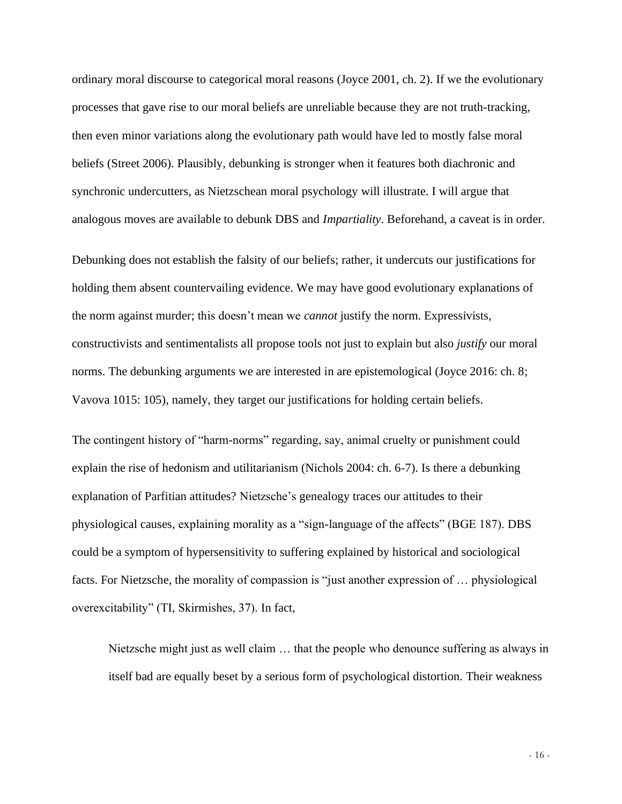ordinary moral discourse to categorical moral reasons (Joyce 2001, ch. 2). If we the evolutionary processes that gave rise to our moral beliefs are unreliable because they are not truth-tracking, then even minor variations along the evolutionary path would have led to mostly false moral beliefs (Street 2006). Plausibly, debunking is stronger when it features both diachronic and synchronic undercutters, as Nietzschean moral psychology will illustrate. I will argue that analogous moves are available to debunk DBS and *Impartiality*. Beforehand, a caveat is in order.

Debunking does not establish the falsity of our beliefs; rather, it undercuts our justifications for holding them absent countervailing evidence. We may have good evolutionary explanations of the norm against murder; this doesn't mean we *cannot* justify the norm. Expressivists, constructivists and sentimentalists all propose tools not just to explain but also *justify* our moral norms. The debunking arguments we are interested in are epistemological (Joyce 2016: ch. 8; Vavova 1015: 105), namely, they target our justifications for holding certain beliefs.

The contingent history of "harm-norms" regarding, say, animal cruelty or punishment could explain the rise of hedonism and utilitarianism (Nichols 2004: ch. 6-7). Is there a debunking explanation of Parfitian attitudes? Nietzsche's genealogy traces our attitudes to their physiological causes, explaining morality as a "sign-language of the affects" (BGE 187). DBS could be a symptom of hypersensitivity to suffering explained by historical and sociological facts. For Nietzsche, the morality of compassion is "just another expression of … physiological overexcitability" (TI, Skirmishes, 37). In fact,

Nietzsche might just as well claim … that the people who denounce suffering as always in itself bad are equally beset by a serious form of psychological distortion. Their weakness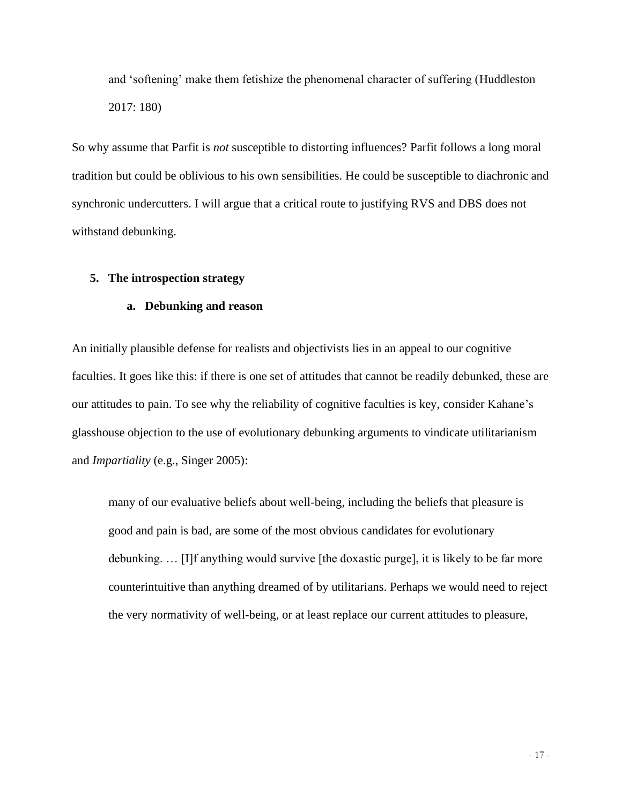and 'softening' make them fetishize the phenomenal character of suffering (Huddleston 2017: 180)

So why assume that Parfit is *not* susceptible to distorting influences? Parfit follows a long moral tradition but could be oblivious to his own sensibilities. He could be susceptible to diachronic and synchronic undercutters. I will argue that a critical route to justifying RVS and DBS does not withstand debunking.

## **5. The introspection strategy**

## **a. Debunking and reason**

An initially plausible defense for realists and objectivists lies in an appeal to our cognitive faculties. It goes like this: if there is one set of attitudes that cannot be readily debunked, these are our attitudes to pain. To see why the reliability of cognitive faculties is key, consider Kahane's glasshouse objection to the use of evolutionary debunking arguments to vindicate utilitarianism and *Impartiality* (e.g., Singer 2005):

many of our evaluative beliefs about well-being, including the beliefs that pleasure is good and pain is bad, are some of the most obvious candidates for evolutionary debunking. … [I]f anything would survive [the doxastic purge], it is likely to be far more counterintuitive than anything dreamed of by utilitarians. Perhaps we would need to reject the very normativity of well-being, or at least replace our current attitudes to pleasure,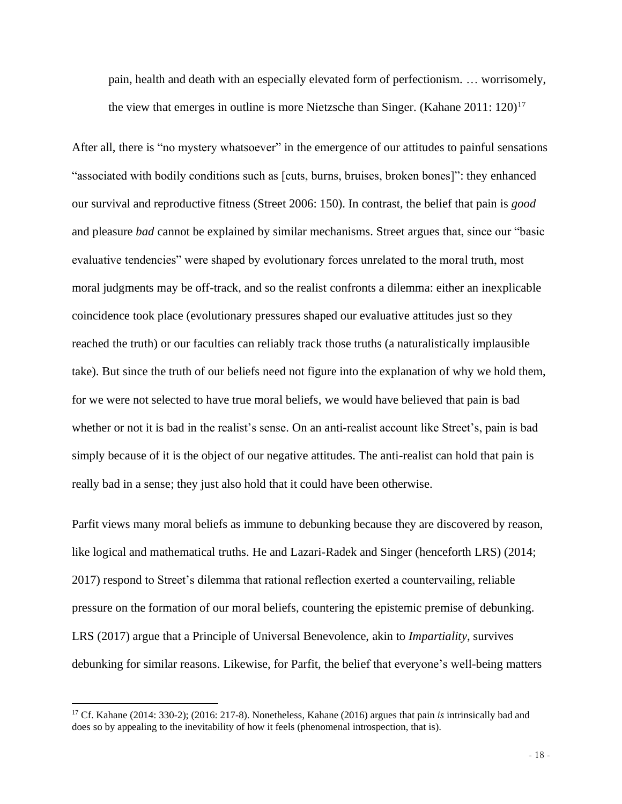pain, health and death with an especially elevated form of perfectionism. … worrisomely, the view that emerges in outline is more Nietzsche than Singer. (Kahane  $2011: 120$ )<sup>17</sup>

After all, there is "no mystery whatsoever" in the emergence of our attitudes to painful sensations "associated with bodily conditions such as [cuts, burns, bruises, broken bones]": they enhanced our survival and reproductive fitness (Street 2006: 150). In contrast, the belief that pain is *good* and pleasure *bad* cannot be explained by similar mechanisms. Street argues that, since our "basic evaluative tendencies" were shaped by evolutionary forces unrelated to the moral truth, most moral judgments may be off-track, and so the realist confronts a dilemma: either an inexplicable coincidence took place (evolutionary pressures shaped our evaluative attitudes just so they reached the truth) or our faculties can reliably track those truths (a naturalistically implausible take). But since the truth of our beliefs need not figure into the explanation of why we hold them, for we were not selected to have true moral beliefs, we would have believed that pain is bad whether or not it is bad in the realist's sense. On an anti-realist account like Street's, pain is bad simply because of it is the object of our negative attitudes. The anti-realist can hold that pain is really bad in a sense; they just also hold that it could have been otherwise.

Parfit views many moral beliefs as immune to debunking because they are discovered by reason, like logical and mathematical truths. He and Lazari-Radek and Singer (henceforth LRS) (2014; 2017) respond to Street's dilemma that rational reflection exerted a countervailing, reliable pressure on the formation of our moral beliefs, countering the epistemic premise of debunking. LRS (2017) argue that a Principle of Universal Benevolence, akin to *Impartiality*, survives debunking for similar reasons. Likewise, for Parfit, the belief that everyone's well-being matters

<sup>17</sup> Cf. Kahane (2014: 330-2); (2016: 217-8). Nonetheless, Kahane (2016) argues that pain *is* intrinsically bad and does so by appealing to the inevitability of how it feels (phenomenal introspection, that is).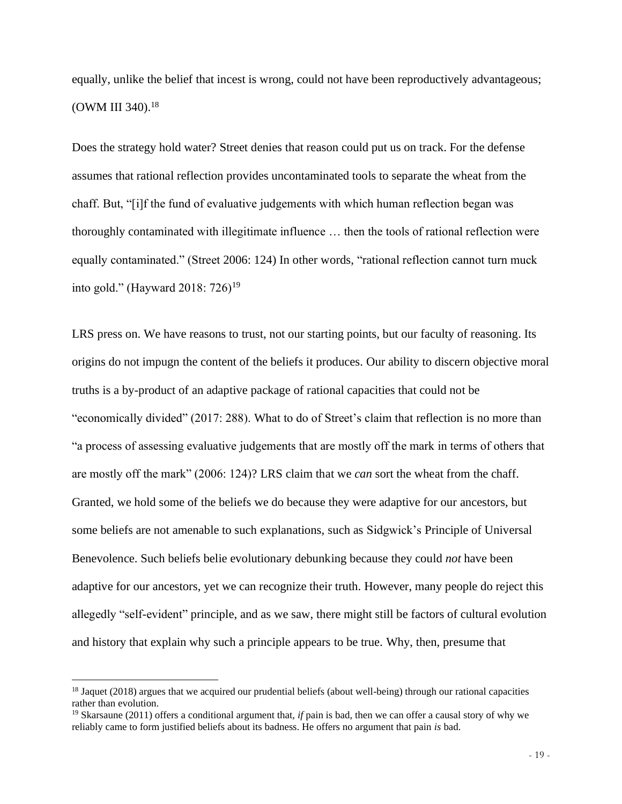equally, unlike the belief that incest is wrong, could not have been reproductively advantageous; (OWM III 340).<sup>18</sup>

Does the strategy hold water? Street denies that reason could put us on track. For the defense assumes that rational reflection provides uncontaminated tools to separate the wheat from the chaff. But, "[i]f the fund of evaluative judgements with which human reflection began was thoroughly contaminated with illegitimate influence … then the tools of rational reflection were equally contaminated." (Street 2006: 124) In other words, "rational reflection cannot turn muck into gold." (Hayward 2018: 726)<sup>19</sup>

LRS press on. We have reasons to trust, not our starting points, but our faculty of reasoning. Its origins do not impugn the content of the beliefs it produces. Our ability to discern objective moral truths is a by-product of an adaptive package of rational capacities that could not be "economically divided" (2017: 288). What to do of Street's claim that reflection is no more than "a process of assessing evaluative judgements that are mostly off the mark in terms of others that are mostly off the mark" (2006: 124)? LRS claim that we *can* sort the wheat from the chaff. Granted, we hold some of the beliefs we do because they were adaptive for our ancestors, but some beliefs are not amenable to such explanations, such as Sidgwick's Principle of Universal Benevolence. Such beliefs belie evolutionary debunking because they could *not* have been adaptive for our ancestors, yet we can recognize their truth. However, many people do reject this allegedly "self-evident" principle, and as we saw, there might still be factors of cultural evolution and history that explain why such a principle appears to be true. Why, then, presume that

<sup>&</sup>lt;sup>18</sup> Jaquet (2018) argues that we acquired our prudential beliefs (about well-being) through our rational capacities rather than evolution.

<sup>19</sup> Skarsaune (2011) offers a conditional argument that, *if* pain is bad, then we can offer a causal story of why we reliably came to form justified beliefs about its badness. He offers no argument that pain *is* bad.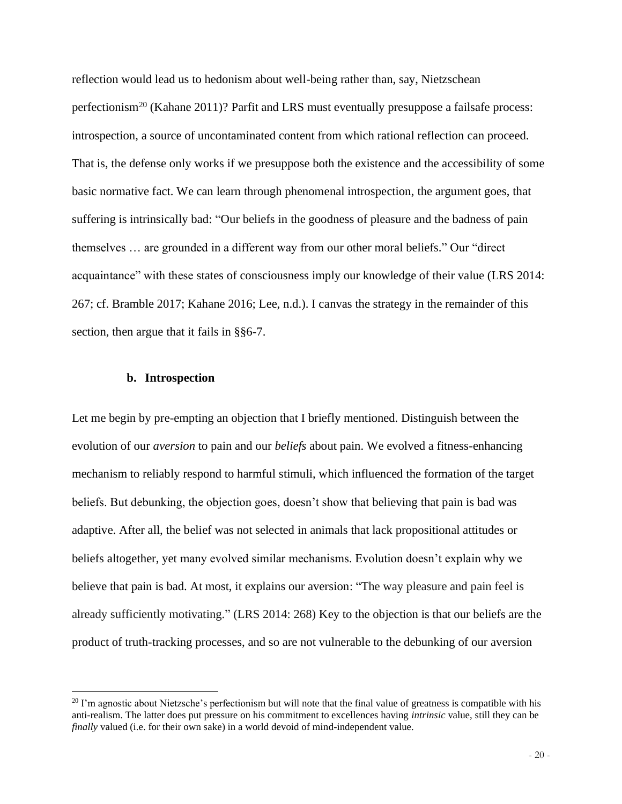reflection would lead us to hedonism about well-being rather than, say, Nietzschean perfectionism<sup>20</sup> (Kahane 2011)? Parfit and LRS must eventually presuppose a failsafe process: introspection, a source of uncontaminated content from which rational reflection can proceed. That is, the defense only works if we presuppose both the existence and the accessibility of some basic normative fact. We can learn through phenomenal introspection, the argument goes, that suffering is intrinsically bad: "Our beliefs in the goodness of pleasure and the badness of pain themselves … are grounded in a different way from our other moral beliefs." Our "direct acquaintance" with these states of consciousness imply our knowledge of their value (LRS 2014: 267; cf. Bramble 2017; Kahane 2016; Lee, n.d.). I canvas the strategy in the remainder of this section, then argue that it fails in §§6-7.

#### **b. Introspection**

Let me begin by pre-empting an objection that I briefly mentioned. Distinguish between the evolution of our *aversion* to pain and our *beliefs* about pain. We evolved a fitness-enhancing mechanism to reliably respond to harmful stimuli, which influenced the formation of the target beliefs. But debunking, the objection goes, doesn't show that believing that pain is bad was adaptive. After all, the belief was not selected in animals that lack propositional attitudes or beliefs altogether, yet many evolved similar mechanisms. Evolution doesn't explain why we believe that pain is bad. At most, it explains our aversion: "The way pleasure and pain feel is already sufficiently motivating." (LRS 2014: 268) Key to the objection is that our beliefs are the product of truth-tracking processes, and so are not vulnerable to the debunking of our aversion

 $20$  I'm agnostic about Nietzsche's perfectionism but will note that the final value of greatness is compatible with his anti-realism. The latter does put pressure on his commitment to excellences having *intrinsic* value, still they can be *finally* valued (i.e. for their own sake) in a world devoid of mind-independent value.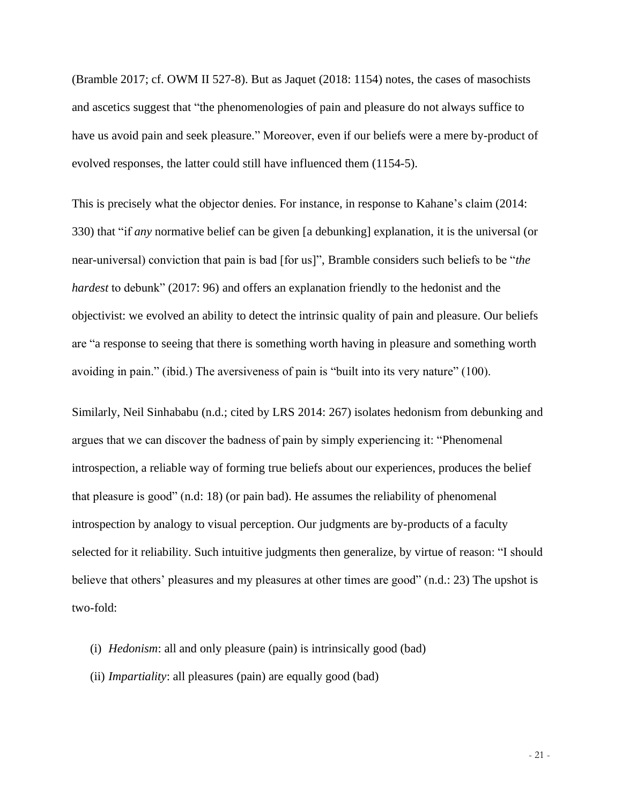(Bramble 2017; cf. OWM II 527-8). But as Jaquet (2018: 1154) notes, the cases of masochists and ascetics suggest that "the phenomenologies of pain and pleasure do not always suffice to have us avoid pain and seek pleasure." Moreover, even if our beliefs were a mere by-product of evolved responses, the latter could still have influenced them (1154-5).

This is precisely what the objector denies. For instance, in response to Kahane's claim (2014: 330) that "if *any* normative belief can be given [a debunking] explanation, it is the universal (or near-universal) conviction that pain is bad [for us]", Bramble considers such beliefs to be "*the hardest* to debunk" (2017: 96) and offers an explanation friendly to the hedonist and the objectivist: we evolved an ability to detect the intrinsic quality of pain and pleasure. Our beliefs are "a response to seeing that there is something worth having in pleasure and something worth avoiding in pain." (ibid.) The aversiveness of pain is "built into its very nature" (100).

Similarly, Neil Sinhababu (n.d.; cited by LRS 2014: 267) isolates hedonism from debunking and argues that we can discover the badness of pain by simply experiencing it: "Phenomenal introspection, a reliable way of forming true beliefs about our experiences, produces the belief that pleasure is good" (n.d: 18) (or pain bad). He assumes the reliability of phenomenal introspection by analogy to visual perception. Our judgments are by-products of a faculty selected for it reliability. Such intuitive judgments then generalize, by virtue of reason: "I should believe that others' pleasures and my pleasures at other times are good" (n.d.: 23) The upshot is two-fold:

- (i) *Hedonism*: all and only pleasure (pain) is intrinsically good (bad)
- (ii) *Impartiality*: all pleasures (pain) are equally good (bad)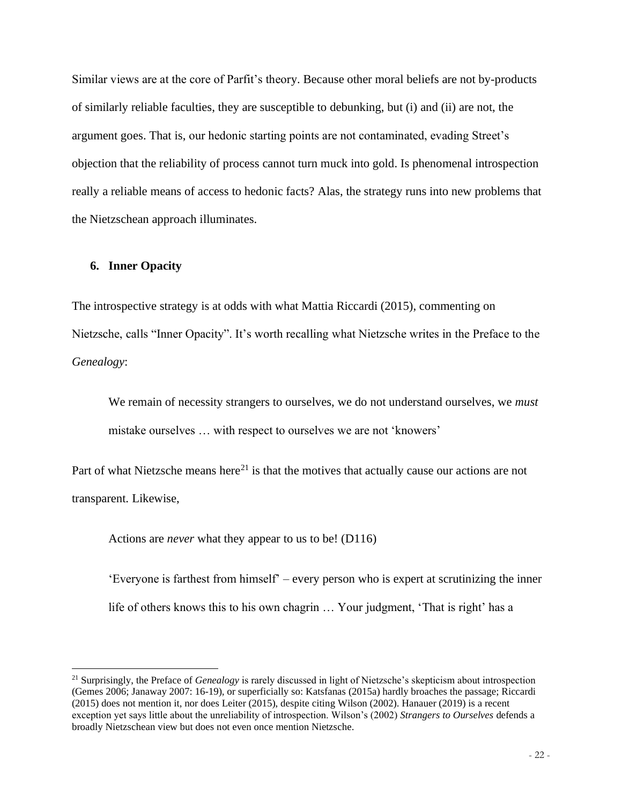Similar views are at the core of Parfit's theory. Because other moral beliefs are not by-products of similarly reliable faculties, they are susceptible to debunking, but (i) and (ii) are not, the argument goes. That is, our hedonic starting points are not contaminated, evading Street's objection that the reliability of process cannot turn muck into gold. Is phenomenal introspection really a reliable means of access to hedonic facts? Alas, the strategy runs into new problems that the Nietzschean approach illuminates.

## **6. Inner Opacity**

The introspective strategy is at odds with what Mattia Riccardi (2015), commenting on Nietzsche, calls "Inner Opacity". It's worth recalling what Nietzsche writes in the Preface to the *Genealogy*:

We remain of necessity strangers to ourselves, we do not understand ourselves, we *must* mistake ourselves … with respect to ourselves we are not 'knowers'

Part of what Nietzsche means here<sup>21</sup> is that the motives that actually cause our actions are not transparent. Likewise,

Actions are *never* what they appear to us to be! (D116)

'Everyone is farthest from himself' – every person who is expert at scrutinizing the inner life of others knows this to his own chagrin … Your judgment, 'That is right' has a

<sup>21</sup> Surprisingly, the Preface of *Genealogy* is rarely discussed in light of Nietzsche's skepticism about introspection (Gemes 2006; Janaway 2007: 16-19), or superficially so: Katsfanas (2015a) hardly broaches the passage; Riccardi (2015) does not mention it, nor does Leiter (2015), despite citing Wilson (2002). Hanauer (2019) is a recent exception yet says little about the unreliability of introspection. Wilson's (2002) *Strangers to Ourselves* defends a broadly Nietzschean view but does not even once mention Nietzsche.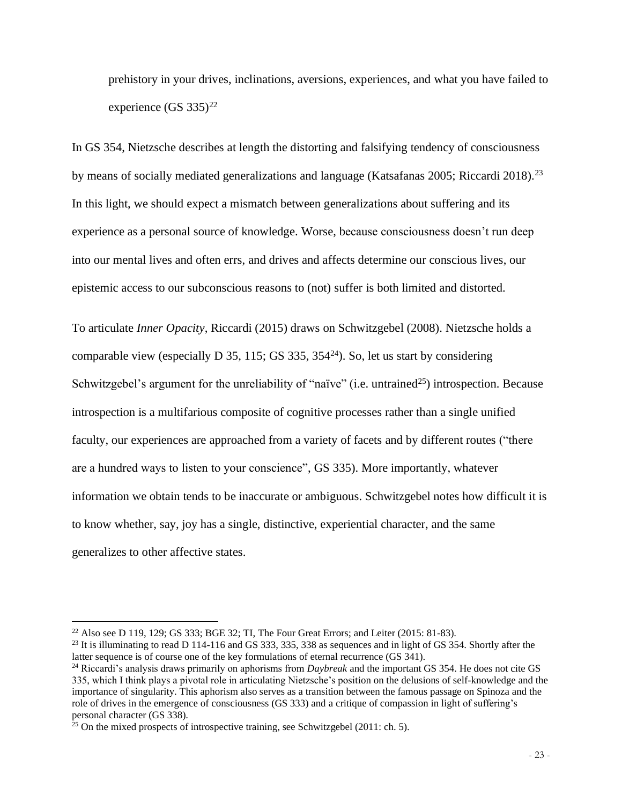prehistory in your drives, inclinations, aversions, experiences, and what you have failed to experience  $(GS 335)^{22}$ 

In GS 354, Nietzsche describes at length the distorting and falsifying tendency of consciousness by means of socially mediated generalizations and language (Katsafanas 2005; Riccardi 2018).<sup>23</sup> In this light, we should expect a mismatch between generalizations about suffering and its experience as a personal source of knowledge. Worse, because consciousness doesn't run deep into our mental lives and often errs, and drives and affects determine our conscious lives, our epistemic access to our subconscious reasons to (not) suffer is both limited and distorted.

To articulate *Inner Opacity*, Riccardi (2015) draws on Schwitzgebel (2008). Nietzsche holds a comparable view (especially D 35, 115; GS 335,  $354<sup>24</sup>$ ). So, let us start by considering Schwitzgebel's argument for the unreliability of "naïve" (i.e. untrained<sup>25</sup>) introspection. Because introspection is a multifarious composite of cognitive processes rather than a single unified faculty, our experiences are approached from a variety of facets and by different routes ("there are a hundred ways to listen to your conscience", GS 335). More importantly, whatever information we obtain tends to be inaccurate or ambiguous. Schwitzgebel notes how difficult it is to know whether, say, joy has a single, distinctive, experiential character, and the same generalizes to other affective states.

<sup>&</sup>lt;sup>22</sup> Also see D 119, 129; GS 333; BGE 32; TI, The Four Great Errors; and Leiter (2015: 81-83).

<sup>&</sup>lt;sup>23</sup> It is illuminating to read D 114-116 and GS 333, 335, 338 as sequences and in light of GS 354. Shortly after the latter sequence is of course one of the key formulations of eternal recurrence (GS 341).

<sup>24</sup> Riccardi's analysis draws primarily on aphorisms from *Daybreak* and the important GS 354. He does not cite GS 335, which I think plays a pivotal role in articulating Nietzsche's position on the delusions of self-knowledge and the importance of singularity. This aphorism also serves as a transition between the famous passage on Spinoza and the role of drives in the emergence of consciousness (GS 333) and a critique of compassion in light of suffering's personal character (GS 338).

 $25$  On the mixed prospects of introspective training, see Schwitzgebel (2011: ch. 5).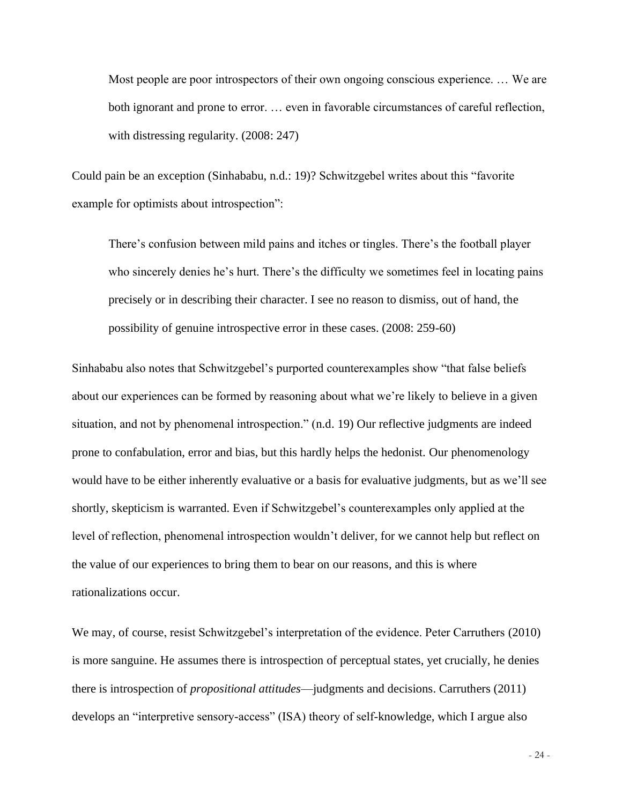Most people are poor introspectors of their own ongoing conscious experience. … We are both ignorant and prone to error. … even in favorable circumstances of careful reflection, with distressing regularity. (2008: 247)

Could pain be an exception (Sinhababu, n.d.: 19)? Schwitzgebel writes about this "favorite example for optimists about introspection":

There's confusion between mild pains and itches or tingles. There's the football player who sincerely denies he's hurt. There's the difficulty we sometimes feel in locating pains precisely or in describing their character. I see no reason to dismiss, out of hand, the possibility of genuine introspective error in these cases. (2008: 259-60)

Sinhababu also notes that Schwitzgebel's purported counterexamples show "that false beliefs about our experiences can be formed by reasoning about what we're likely to believe in a given situation, and not by phenomenal introspection." (n.d. 19) Our reflective judgments are indeed prone to confabulation, error and bias, but this hardly helps the hedonist. Our phenomenology would have to be either inherently evaluative or a basis for evaluative judgments, but as we'll see shortly, skepticism is warranted. Even if Schwitzgebel's counterexamples only applied at the level of reflection, phenomenal introspection wouldn't deliver, for we cannot help but reflect on the value of our experiences to bring them to bear on our reasons, and this is where rationalizations occur.

We may, of course, resist Schwitzgebel's interpretation of the evidence. Peter Carruthers (2010) is more sanguine. He assumes there is introspection of perceptual states, yet crucially, he denies there is introspection of *propositional attitudes*—judgments and decisions. Carruthers (2011) develops an "interpretive sensory-access" (ISA) theory of self-knowledge, which I argue also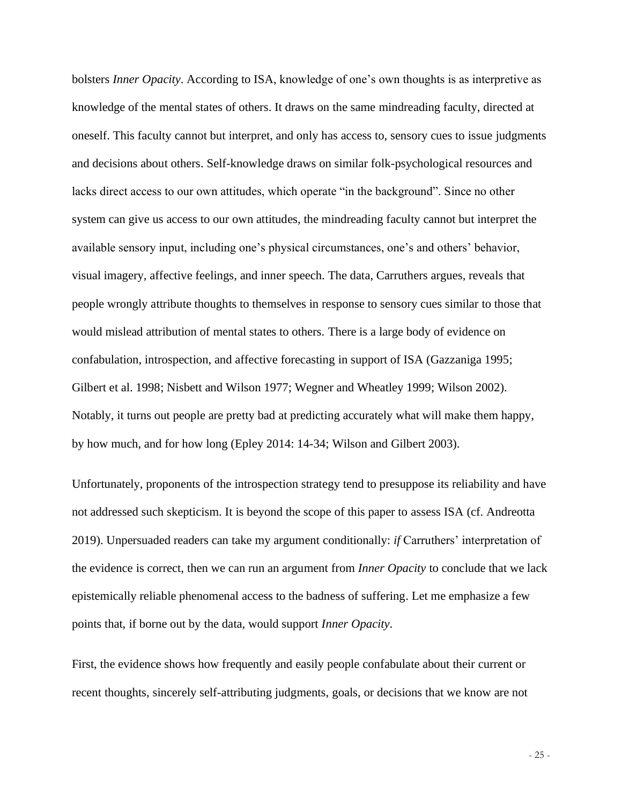bolsters *Inner Opacity*. According to ISA, knowledge of one's own thoughts is as interpretive as knowledge of the mental states of others. It draws on the same mindreading faculty, directed at oneself. This faculty cannot but interpret, and only has access to, sensory cues to issue judgments and decisions about others. Self-knowledge draws on similar folk-psychological resources and lacks direct access to our own attitudes, which operate "in the background". Since no other system can give us access to our own attitudes, the mindreading faculty cannot but interpret the available sensory input, including one's physical circumstances, one's and others' behavior, visual imagery, affective feelings, and inner speech. The data, Carruthers argues, reveals that people wrongly attribute thoughts to themselves in response to sensory cues similar to those that would mislead attribution of mental states to others. There is a large body of evidence on confabulation, introspection, and affective forecasting in support of ISA (Gazzaniga 1995; Gilbert et al. 1998; Nisbett and Wilson 1977; Wegner and Wheatley 1999; Wilson 2002). Notably, it turns out people are pretty bad at predicting accurately what will make them happy, by how much, and for how long (Epley 2014: 14-34; Wilson and Gilbert 2003).

Unfortunately, proponents of the introspection strategy tend to presuppose its reliability and have not addressed such skepticism. It is beyond the scope of this paper to assess ISA (cf. Andreotta 2019). Unpersuaded readers can take my argument conditionally: *if* Carruthers' interpretation of the evidence is correct, then we can run an argument from *Inner Opacity* to conclude that we lack epistemically reliable phenomenal access to the badness of suffering. Let me emphasize a few points that, if borne out by the data, would support *Inner Opacity*.

First, the evidence shows how frequently and easily people confabulate about their current or recent thoughts, sincerely self-attributing judgments, goals, or decisions that we know are not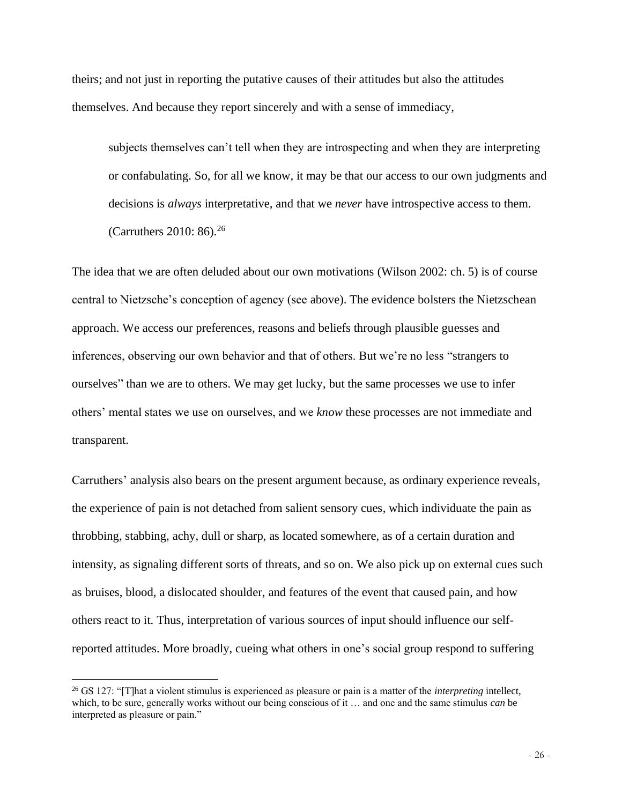theirs; and not just in reporting the putative causes of their attitudes but also the attitudes themselves. And because they report sincerely and with a sense of immediacy,

subjects themselves can't tell when they are introspecting and when they are interpreting or confabulating. So, for all we know, it may be that our access to our own judgments and decisions is *always* interpretative, and that we *never* have introspective access to them. (Carruthers 2010: 86).<sup>26</sup>

The idea that we are often deluded about our own motivations (Wilson 2002: ch. 5) is of course central to Nietzsche's conception of agency (see above). The evidence bolsters the Nietzschean approach. We access our preferences, reasons and beliefs through plausible guesses and inferences, observing our own behavior and that of others. But we're no less "strangers to ourselves" than we are to others. We may get lucky, but the same processes we use to infer others' mental states we use on ourselves, and we *know* these processes are not immediate and transparent.

Carruthers' analysis also bears on the present argument because, as ordinary experience reveals, the experience of pain is not detached from salient sensory cues, which individuate the pain as throbbing, stabbing, achy, dull or sharp, as located somewhere, as of a certain duration and intensity, as signaling different sorts of threats, and so on. We also pick up on external cues such as bruises, blood, a dislocated shoulder, and features of the event that caused pain, and how others react to it. Thus, interpretation of various sources of input should influence our selfreported attitudes. More broadly, cueing what others in one's social group respond to suffering

<sup>26</sup> GS 127: "[T]hat a violent stimulus is experienced as pleasure or pain is a matter of the *interpreting* intellect, which, to be sure, generally works without our being conscious of it … and one and the same stimulus *can* be interpreted as pleasure or pain."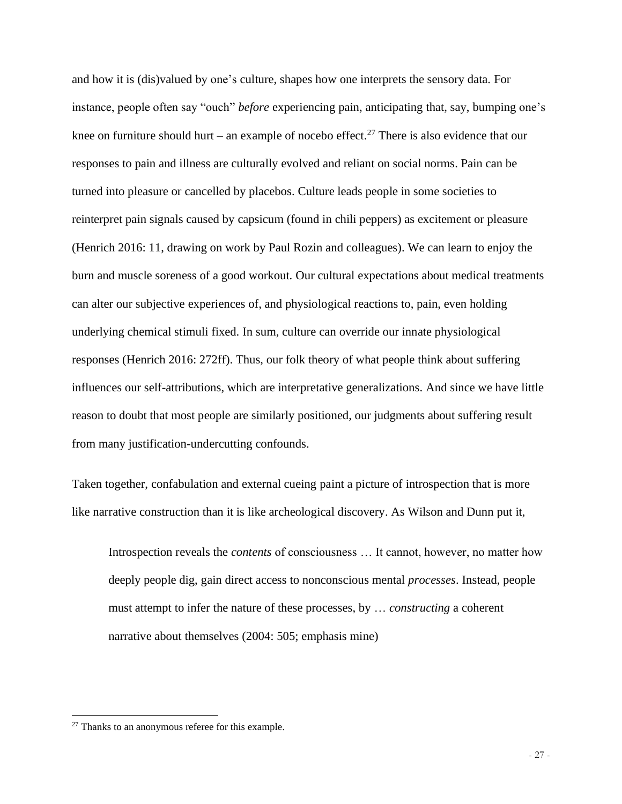and how it is (dis)valued by one's culture, shapes how one interprets the sensory data. For instance, people often say "ouch" *before* experiencing pain, anticipating that, say, bumping one's knee on furniture should hurt – an example of nocebo effect.<sup>27</sup> There is also evidence that our responses to pain and illness are culturally evolved and reliant on social norms. Pain can be turned into pleasure or cancelled by placebos. Culture leads people in some societies to reinterpret pain signals caused by capsicum (found in chili peppers) as excitement or pleasure (Henrich 2016: 11, drawing on work by Paul Rozin and colleagues). We can learn to enjoy the burn and muscle soreness of a good workout. Our cultural expectations about medical treatments can alter our subjective experiences of, and physiological reactions to, pain, even holding underlying chemical stimuli fixed. In sum, culture can override our innate physiological responses (Henrich 2016: 272ff). Thus, our folk theory of what people think about suffering influences our self-attributions, which are interpretative generalizations. And since we have little reason to doubt that most people are similarly positioned, our judgments about suffering result from many justification-undercutting confounds.

Taken together, confabulation and external cueing paint a picture of introspection that is more like narrative construction than it is like archeological discovery. As Wilson and Dunn put it,

Introspection reveals the *contents* of consciousness … It cannot, however, no matter how deeply people dig, gain direct access to nonconscious mental *processes*. Instead, people must attempt to infer the nature of these processes, by … *constructing* a coherent narrative about themselves (2004: 505; emphasis mine)

<sup>&</sup>lt;sup>27</sup> Thanks to an anonymous referee for this example.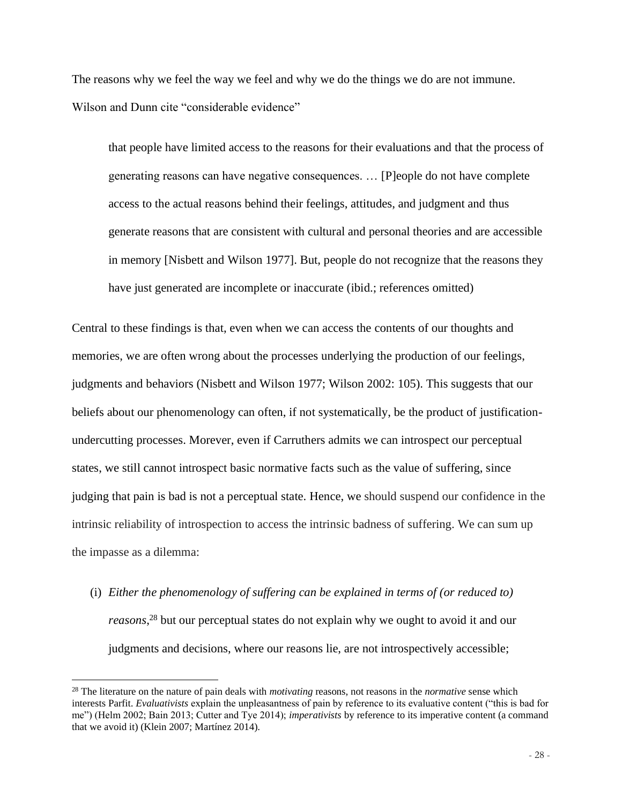The reasons why we feel the way we feel and why we do the things we do are not immune. Wilson and Dunn cite "considerable evidence"

that people have limited access to the reasons for their evaluations and that the process of generating reasons can have negative consequences. … [P]eople do not have complete access to the actual reasons behind their feelings, attitudes, and judgment and thus generate reasons that are consistent with cultural and personal theories and are accessible in memory [Nisbett and Wilson 1977]. But, people do not recognize that the reasons they have just generated are incomplete or inaccurate (ibid.; references omitted)

Central to these findings is that, even when we can access the contents of our thoughts and memories, we are often wrong about the processes underlying the production of our feelings, judgments and behaviors (Nisbett and Wilson 1977; Wilson 2002: 105). This suggests that our beliefs about our phenomenology can often, if not systematically, be the product of justificationundercutting processes. Morever, even if Carruthers admits we can introspect our perceptual states, we still cannot introspect basic normative facts such as the value of suffering, since judging that pain is bad is not a perceptual state. Hence, we should suspend our confidence in the intrinsic reliability of introspection to access the intrinsic badness of suffering. We can sum up the impasse as a dilemma:

(i) *Either the phenomenology of suffering can be explained in terms of (or reduced to) reasons*, <sup>28</sup> but our perceptual states do not explain why we ought to avoid it and our judgments and decisions, where our reasons lie, are not introspectively accessible;

<sup>28</sup> The literature on the nature of pain deals with *motivating* reasons, not reasons in the *normative* sense which interests Parfit. *Evaluativists* explain the unpleasantness of pain by reference to its evaluative content ("this is bad for me") (Helm 2002; Bain 2013; Cutter and Tye 2014); *imperativists* by reference to its imperative content (a command that we avoid it) (Klein 2007; Martínez 2014).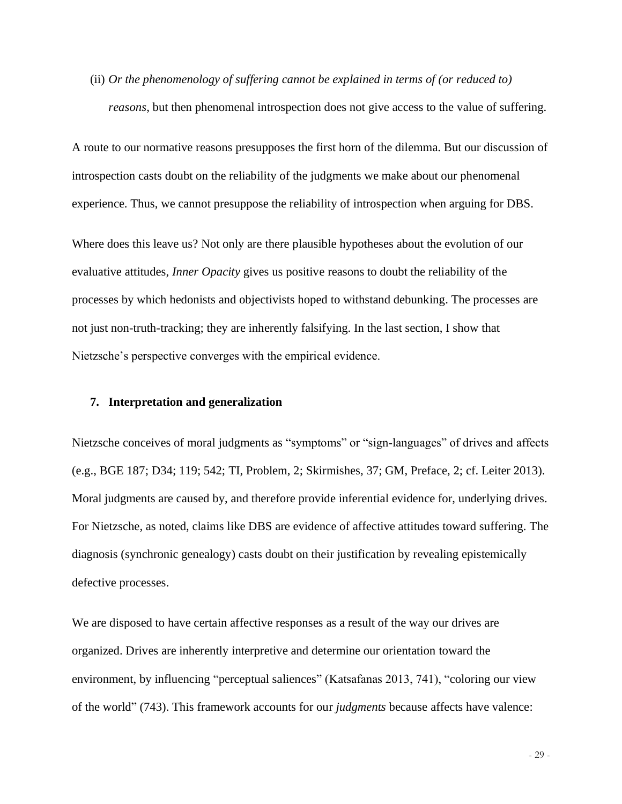(ii) *Or the phenomenology of suffering cannot be explained in terms of (or reduced to) reasons*, but then phenomenal introspection does not give access to the value of suffering.

A route to our normative reasons presupposes the first horn of the dilemma. But our discussion of introspection casts doubt on the reliability of the judgments we make about our phenomenal experience. Thus, we cannot presuppose the reliability of introspection when arguing for DBS.

Where does this leave us? Not only are there plausible hypotheses about the evolution of our evaluative attitudes, *Inner Opacity* gives us positive reasons to doubt the reliability of the processes by which hedonists and objectivists hoped to withstand debunking. The processes are not just non-truth-tracking; they are inherently falsifying. In the last section, I show that Nietzsche's perspective converges with the empirical evidence.

## **7. Interpretation and generalization**

Nietzsche conceives of moral judgments as "symptoms" or "sign-languages" of drives and affects (e.g., BGE 187; D34; 119; 542; TI, Problem, 2; Skirmishes, 37; GM, Preface, 2; cf. Leiter 2013). Moral judgments are caused by, and therefore provide inferential evidence for, underlying drives. For Nietzsche, as noted, claims like DBS are evidence of affective attitudes toward suffering. The diagnosis (synchronic genealogy) casts doubt on their justification by revealing epistemically defective processes.

We are disposed to have certain affective responses as a result of the way our drives are organized. Drives are inherently interpretive and determine our orientation toward the environment, by influencing "perceptual saliences" (Katsafanas 2013, 741), "coloring our view of the world" (743). This framework accounts for our *judgments* because affects have valence: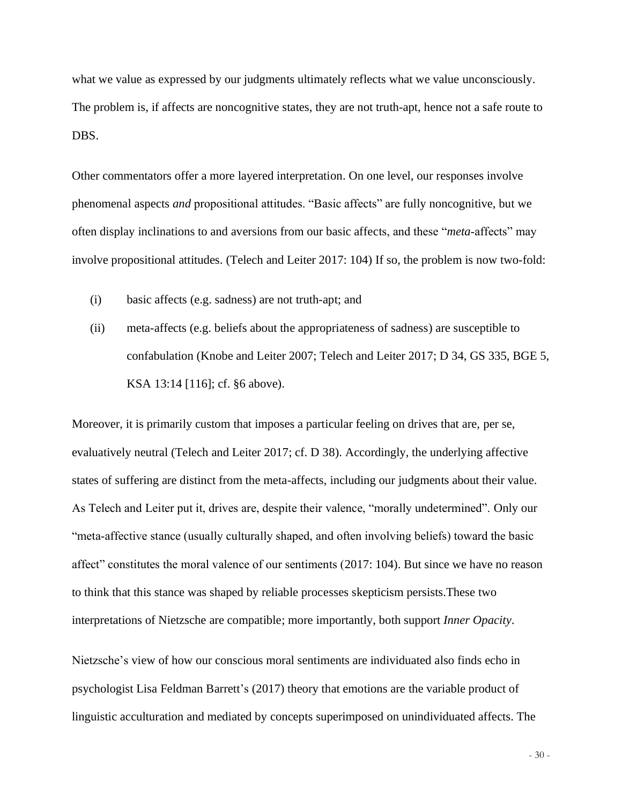what we value as expressed by our judgments ultimately reflects what we value unconsciously. The problem is, if affects are noncognitive states, they are not truth-apt, hence not a safe route to DBS.

Other commentators offer a more layered interpretation. On one level, our responses involve phenomenal aspects *and* propositional attitudes. "Basic affects" are fully noncognitive, but we often display inclinations to and aversions from our basic affects, and these "*meta*‐affects" may involve propositional attitudes. (Telech and Leiter 2017: 104) If so, the problem is now two-fold:

- (i) basic affects (e.g. sadness) are not truth-apt; and
- (ii) meta-affects (e.g. beliefs about the appropriateness of sadness) are susceptible to confabulation (Knobe and Leiter 2007; Telech and Leiter 2017; D 34, GS 335, BGE 5, KSA 13:14 [116]; cf. §6 above).

Moreover, it is primarily custom that imposes a particular feeling on drives that are, per se, evaluatively neutral (Telech and Leiter 2017; cf. D 38). Accordingly, the underlying affective states of suffering are distinct from the meta-affects, including our judgments about their value. As Telech and Leiter put it, drives are, despite their valence, "morally undetermined". Only our "meta‐affective stance (usually culturally shaped, and often involving beliefs) toward the basic affect" constitutes the moral valence of our sentiments (2017: 104). But since we have no reason to think that this stance was shaped by reliable processes skepticism persists.These two interpretations of Nietzsche are compatible; more importantly, both support *Inner Opacity*.

Nietzsche's view of how our conscious moral sentiments are individuated also finds echo in psychologist Lisa Feldman Barrett's (2017) theory that emotions are the variable product of linguistic acculturation and mediated by concepts superimposed on unindividuated affects. The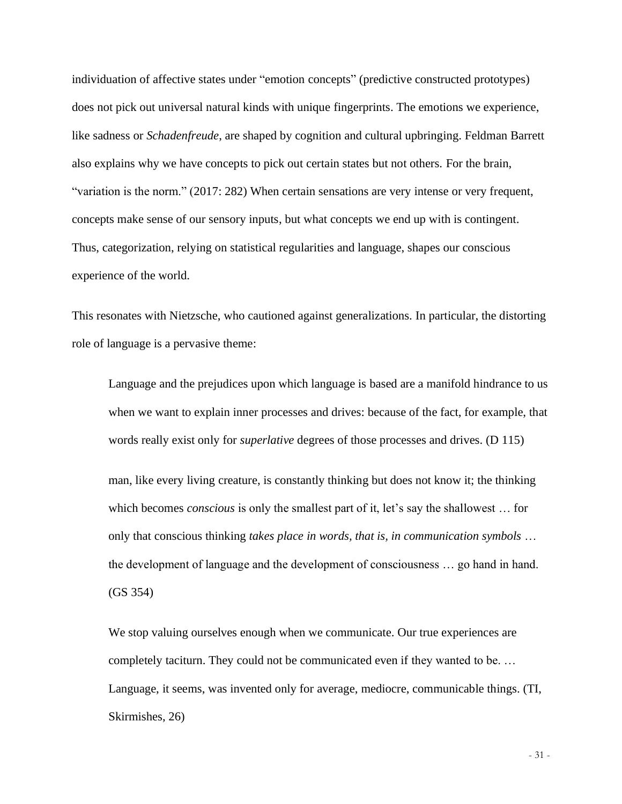individuation of affective states under "emotion concepts" (predictive constructed prototypes) does not pick out universal natural kinds with unique fingerprints. The emotions we experience, like sadness or *Schadenfreude*, are shaped by cognition and cultural upbringing. Feldman Barrett also explains why we have concepts to pick out certain states but not others. For the brain, "variation is the norm." (2017: 282) When certain sensations are very intense or very frequent, concepts make sense of our sensory inputs, but what concepts we end up with is contingent. Thus, categorization, relying on statistical regularities and language, shapes our conscious experience of the world.

This resonates with Nietzsche, who cautioned against generalizations. In particular, the distorting role of language is a pervasive theme:

Language and the prejudices upon which language is based are a manifold hindrance to us when we want to explain inner processes and drives: because of the fact, for example, that words really exist only for *superlative* degrees of those processes and drives. (D 115)

man, like every living creature, is constantly thinking but does not know it; the thinking which becomes *conscious* is only the smallest part of it, let's say the shallowest … for only that conscious thinking *takes place in words, that is, in communication symbols* … the development of language and the development of consciousness … go hand in hand. (GS 354)

We stop valuing ourselves enough when we communicate. Our true experiences are completely taciturn. They could not be communicated even if they wanted to be. … Language, it seems, was invented only for average, mediocre, communicable things. (TI, Skirmishes, 26)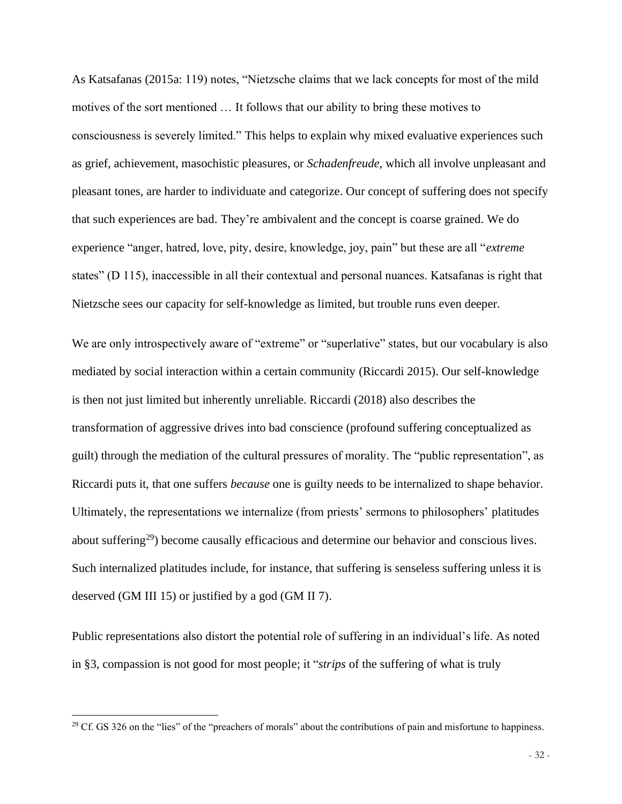As Katsafanas (2015a: 119) notes, "Nietzsche claims that we lack concepts for most of the mild motives of the sort mentioned … It follows that our ability to bring these motives to consciousness is severely limited." This helps to explain why mixed evaluative experiences such as grief, achievement, masochistic pleasures, or *Schadenfreude*, which all involve unpleasant and pleasant tones, are harder to individuate and categorize. Our concept of suffering does not specify that such experiences are bad. They're ambivalent and the concept is coarse grained. We do experience "anger, hatred, love, pity, desire, knowledge, joy, pain" but these are all "*extreme* states" (D 115), inaccessible in all their contextual and personal nuances. Katsafanas is right that Nietzsche sees our capacity for self-knowledge as limited, but trouble runs even deeper.

We are only introspectively aware of "extreme" or "superlative" states, but our vocabulary is also mediated by social interaction within a certain community (Riccardi 2015). Our self-knowledge is then not just limited but inherently unreliable. Riccardi (2018) also describes the transformation of aggressive drives into bad conscience (profound suffering conceptualized as guilt) through the mediation of the cultural pressures of morality. The "public representation", as Riccardi puts it, that one suffers *because* one is guilty needs to be internalized to shape behavior. Ultimately, the representations we internalize (from priests' sermons to philosophers' platitudes about suffering<sup>29</sup>) become causally efficacious and determine our behavior and conscious lives. Such internalized platitudes include, for instance, that suffering is senseless suffering unless it is deserved (GM III 15) or justified by a god (GM II 7).

Public representations also distort the potential role of suffering in an individual's life. As noted in §3, compassion is not good for most people; it "*strips* of the suffering of what is truly

 $29$  Cf. GS 326 on the "lies" of the "preachers of morals" about the contributions of pain and misfortune to happiness.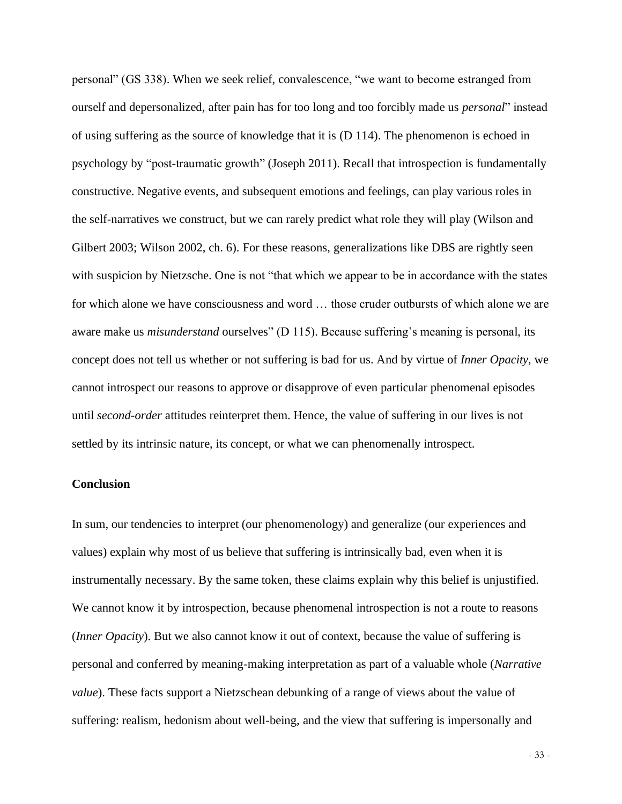personal" (GS 338). When we seek relief, convalescence, "we want to become estranged from ourself and depersonalized, after pain has for too long and too forcibly made us *personal*" instead of using suffering as the source of knowledge that it is (D 114). The phenomenon is echoed in psychology by "post-traumatic growth" (Joseph 2011). Recall that introspection is fundamentally constructive. Negative events, and subsequent emotions and feelings, can play various roles in the self-narratives we construct, but we can rarely predict what role they will play (Wilson and Gilbert 2003; Wilson 2002, ch. 6). For these reasons, generalizations like DBS are rightly seen with suspicion by Nietzsche. One is not "that which we appear to be in accordance with the states for which alone we have consciousness and word … those cruder outbursts of which alone we are aware make us *misunderstand* ourselves" (D 115). Because suffering's meaning is personal, its concept does not tell us whether or not suffering is bad for us. And by virtue of *Inner Opacity*, we cannot introspect our reasons to approve or disapprove of even particular phenomenal episodes until *second-order* attitudes reinterpret them. Hence, the value of suffering in our lives is not settled by its intrinsic nature, its concept, or what we can phenomenally introspect.

## **Conclusion**

In sum, our tendencies to interpret (our phenomenology) and generalize (our experiences and values) explain why most of us believe that suffering is intrinsically bad, even when it is instrumentally necessary. By the same token, these claims explain why this belief is unjustified. We cannot know it by introspection, because phenomenal introspection is not a route to reasons (*Inner Opacity*). But we also cannot know it out of context, because the value of suffering is personal and conferred by meaning-making interpretation as part of a valuable whole (*Narrative value*). These facts support a Nietzschean debunking of a range of views about the value of suffering: realism, hedonism about well-being, and the view that suffering is impersonally and

- 33 -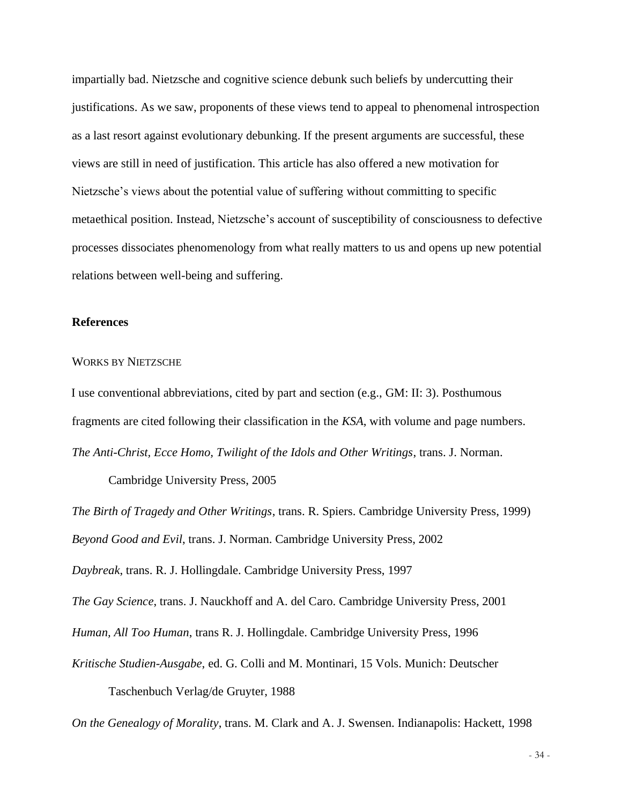impartially bad. Nietzsche and cognitive science debunk such beliefs by undercutting their justifications. As we saw, proponents of these views tend to appeal to phenomenal introspection as a last resort against evolutionary debunking. If the present arguments are successful, these views are still in need of justification. This article has also offered a new motivation for Nietzsche's views about the potential value of suffering without committing to specific metaethical position. Instead, Nietzsche's account of susceptibility of consciousness to defective processes dissociates phenomenology from what really matters to us and opens up new potential relations between well-being and suffering.

## **References**

## WORKS BY NIETZSCHE

I use conventional abbreviations, cited by part and section (e.g., GM: II: 3). Posthumous fragments are cited following their classification in the *KSA*, with volume and page numbers. *The Anti-Christ, Ecce Homo, Twilight of the Idols and Other Writings*, trans. J. Norman.

Cambridge University Press, 2005

*The Birth of Tragedy and Other Writings*, trans. R. Spiers. Cambridge University Press, 1999) *Beyond Good and Evil*, trans. J. Norman. Cambridge University Press, 2002

*Daybreak*, trans. R. J. Hollingdale. Cambridge University Press, 1997

*The Gay Science*, trans. J. Nauckhoff and A. del Caro. Cambridge University Press, 2001

*Human, All Too Human*, trans R. J. Hollingdale. Cambridge University Press, 1996

*Kritische Studien-Ausgabe*, ed. G. Colli and M. Montinari, 15 Vols. Munich: Deutscher Taschenbuch Verlag/de Gruyter, 1988

*On the Genealogy of Morality*, trans. M. Clark and A. J. Swensen. Indianapolis: Hackett, 1998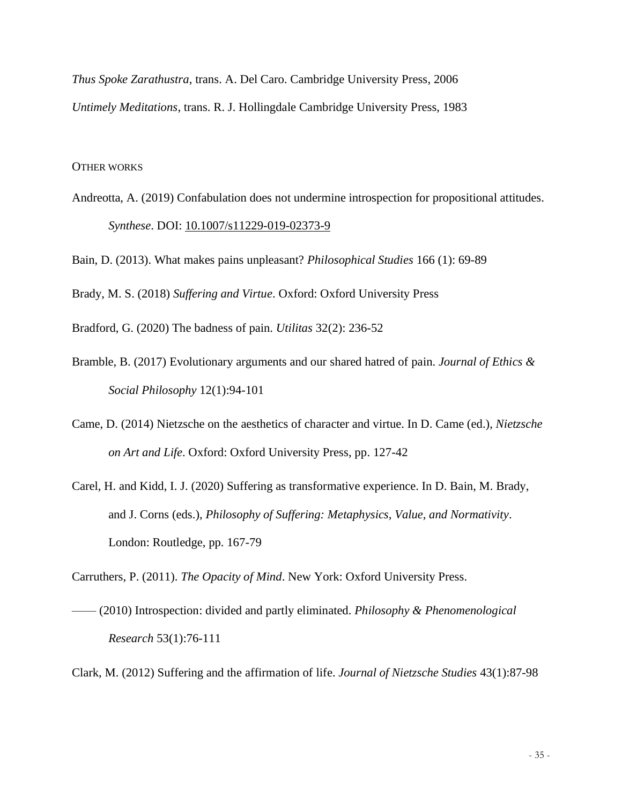*Thus Spoke Zarathustra*, trans. A. Del Caro. Cambridge University Press, 2006 *Untimely Meditations*, trans. R. J. Hollingdale Cambridge University Press, 1983

## OTHER WORKS

Andreotta, A. (2019) Confabulation does not undermine introspection for propositional attitudes. *Synthese*. DOI: [10.1007/s11229-019-02373-9](https://doi.org/10.1007/s11229-019-02373-9)

Bain, D. (2013). What makes pains unpleasant? *Philosophical Studies* 166 (1): 69-89

Brady, M. S. (2018) *Suffering and Virtue*. Oxford: Oxford University Press

Bradford, G. (2020) The badness of pain. *Utilitas* 32(2): 236-52

- Bramble, B. (2017) Evolutionary arguments and our shared hatred of pain. *Journal of Ethics & Social Philosophy* 12(1):94-101
- Came, D. (2014) Nietzsche on the aesthetics of character and virtue. In D. Came (ed.), *Nietzsche on Art and Life*. Oxford: Oxford University Press, pp. 127-42
- Carel, H. and Kidd, I. J. (2020) Suffering as transformative experience. In D. Bain, M. Brady, and J. Corns (eds.), *Philosophy of Suffering: Metaphysics, Value, and Normativity*. London: Routledge, pp. 167-79

Carruthers, P. (2011). *The Opacity of Mind*. New York: Oxford University Press.

- –––– (2010) Introspection: divided and partly eliminated. *Philosophy & Phenomenological Research* 53(1):76-111
- Clark, M. (2012) Suffering and the affirmation of life. *Journal of Nietzsche Studies* 43(1):87-98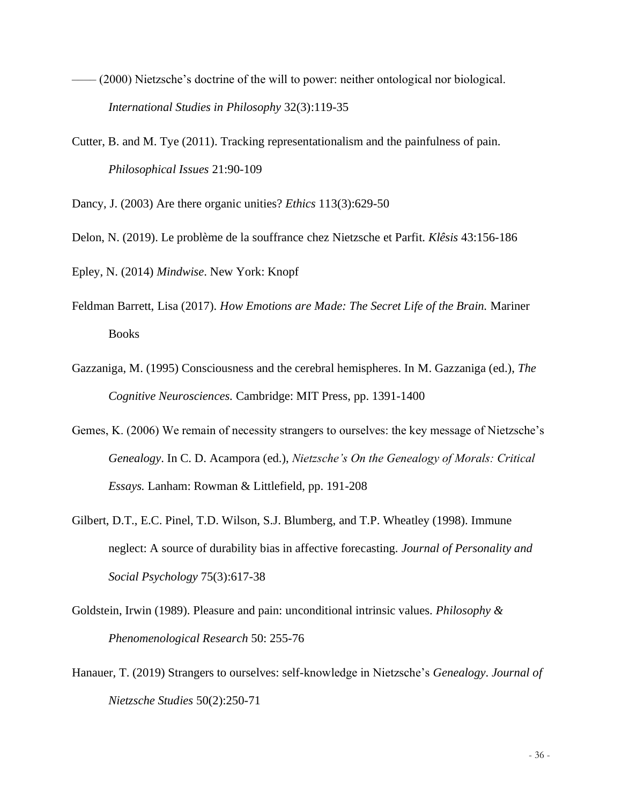- –––– (2000) Nietzsche's doctrine of the will to power: neither ontological nor biological. *International Studies in Philosophy* 32(3):119-35
- Cutter, B. and M. Tye (2011). Tracking representationalism and the painfulness of pain. *Philosophical Issues* 21:90-109

Dancy, J. (2003) Are there organic unities? *Ethics* 113(3):629-50

Delon, N. (2019). Le problème de la souffrance chez Nietzsche et Parfit. *Klêsis* 43:156-186

Epley, N. (2014) *Mindwise*. New York: Knopf

- Feldman Barrett, Lisa (2017). *How Emotions are Made: The Secret Life of the Brain.* Mariner Books
- Gazzaniga, M. (1995) Consciousness and the cerebral hemispheres. In M. Gazzaniga (ed.), *The Cognitive Neurosciences.* Cambridge: MIT Press, pp. 1391-1400
- Gemes, K. (2006) We remain of necessity strangers to ourselves: the key message of Nietzsche's *Genealogy*. In C. D. Acampora (ed.), *Nietzsche's On the Genealogy of Morals: Critical Essays.* Lanham: Rowman & Littlefield, pp. 191-208
- Gilbert, D.T., E.C. Pinel, T.D. Wilson, S.J. Blumberg, and T.P. Wheatley (1998). Immune neglect: A source of durability bias in affective forecasting. *Journal of Personality and Social Psychology* 75(3):617-38
- Goldstein, Irwin (1989). Pleasure and pain: unconditional intrinsic values. *Philosophy & Phenomenological Research* 50: 255-76
- Hanauer, T. (2019) Strangers to ourselves: self-knowledge in Nietzsche's *Genealogy*. *Journal of Nietzsche Studies* 50(2):250-71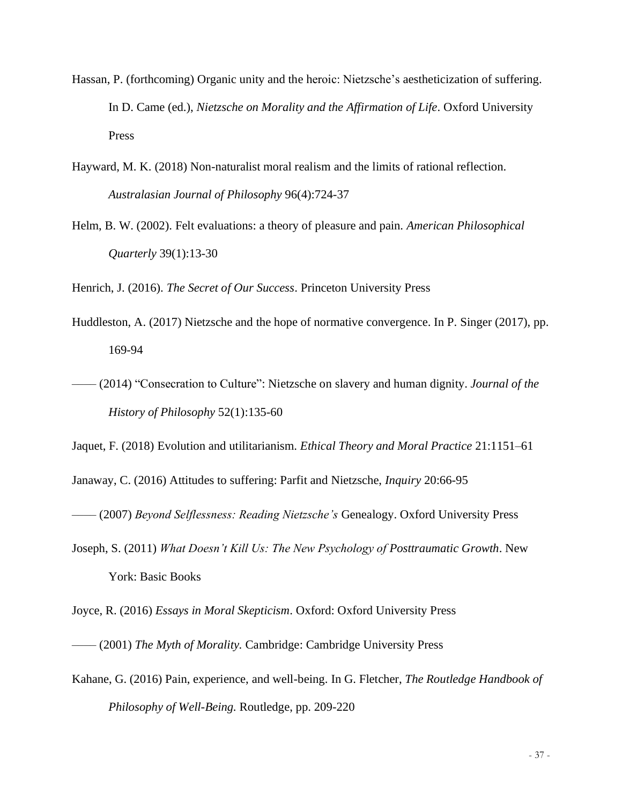- Hassan, P. (forthcoming) Organic unity and the heroic: Nietzsche's aestheticization of suffering. In D. Came (ed.), *Nietzsche on Morality and the Affirmation of Life*. Oxford University Press
- Hayward, M. K. (2018) Non-naturalist moral realism and the limits of rational reflection. *Australasian Journal of Philosophy* 96(4):724-37
- Helm, B. W. (2002). Felt evaluations: a theory of pleasure and pain. *American Philosophical Quarterly* 39(1):13-30

Henrich, J. (2016). *The Secret of Our Success*. Princeton University Press

- Huddleston, A. (2017) Nietzsche and the hope of normative convergence. In P. Singer (2017), pp. 169-94
- –––– (2014) "Consecration to Culture": Nietzsche on slavery and human dignity. *Journal of the History of Philosophy* 52(1):135-60

Jaquet, F. (2018) Evolution and utilitarianism. *Ethical Theory and Moral Practice* 21:1151–61

Janaway, C. (2016) Attitudes to suffering: Parfit and Nietzsche, *Inquiry* 20:66-95

–––– (2007) *Beyond Selflessness: Reading Nietzsche's* Genealogy. Oxford University Press

Joseph, S. (2011) *What Doesn't Kill Us: The New Psychology of Posttraumatic Growth*. New York: Basic Books

Joyce, R. (2016) *Essays in Moral Skepticism*. Oxford: Oxford University Press

- –––– (2001) *The Myth of Morality.* Cambridge: Cambridge University Press
- Kahane, G. (2016) Pain, experience, and well-being. In G. Fletcher, *The Routledge Handbook of Philosophy of Well-Being.* Routledge, pp. 209-220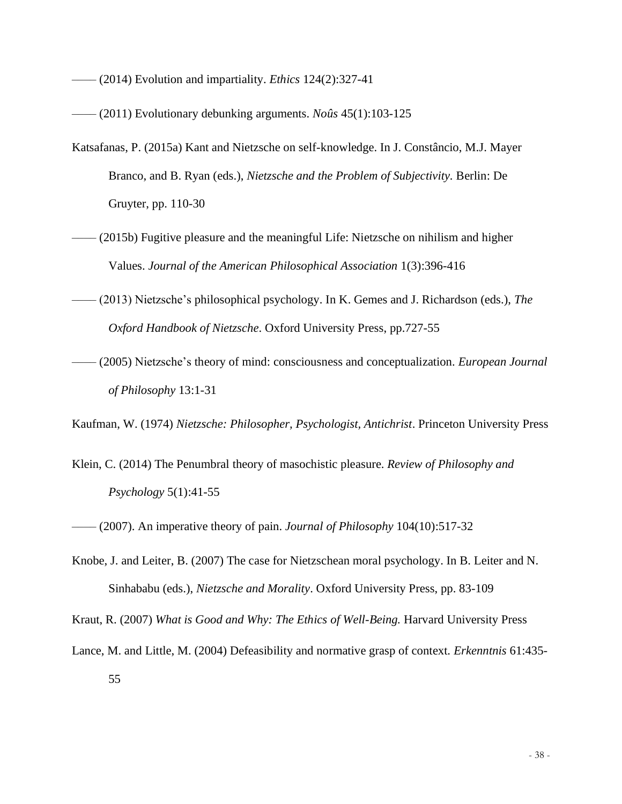–––– (2014) Evolution and impartiality. *Ethics* 124(2):327-41

- –––– (2011) Evolutionary debunking arguments. *Noûs* 45(1):103-125
- Katsafanas, P. (2015a) Kant and Nietzsche on self-knowledge. In J. Constâncio, M.J. Mayer Branco, and B. Ryan (eds.), *Nietzsche and the Problem of Subjectivity.* Berlin: De Gruyter, pp. 110-30
- $-$  (2015b) Fugitive pleasure and the meaningful Life: Nietzsche on nihilism and higher Values. *Journal of the American Philosophical Association* 1(3):396-416
- –––– (2013) Nietzsche's philosophical psychology. In K. Gemes and J. Richardson (eds.), *The Oxford Handbook of Nietzsche*. Oxford University Press, pp.727-55
- –––– (2005) Nietzsche's theory of mind: consciousness and conceptualization. *European Journal of Philosophy* 13:1-31

Kaufman, W. (1974) *Nietzsche: Philosopher, Psychologist, Antichrist*. Princeton University Press

Klein, C. (2014) The Penumbral theory of masochistic pleasure. *Review of Philosophy and Psychology* 5(1):41-55

–––– (2007). An imperative theory of pain. *Journal of Philosophy* 104(10):517-32

Knobe, J. and Leiter, B. (2007) The case for Nietzschean moral psychology. In B. Leiter and N. Sinhababu (eds.), *Nietzsche and Morality*. Oxford University Press, pp. 83-109

Kraut, R. (2007) *What is Good and Why: The Ethics of Well-Being.* Harvard University Press

Lance, M. and Little, M. (2004) Defeasibility and normative grasp of context. *Erkenntnis* 61:435-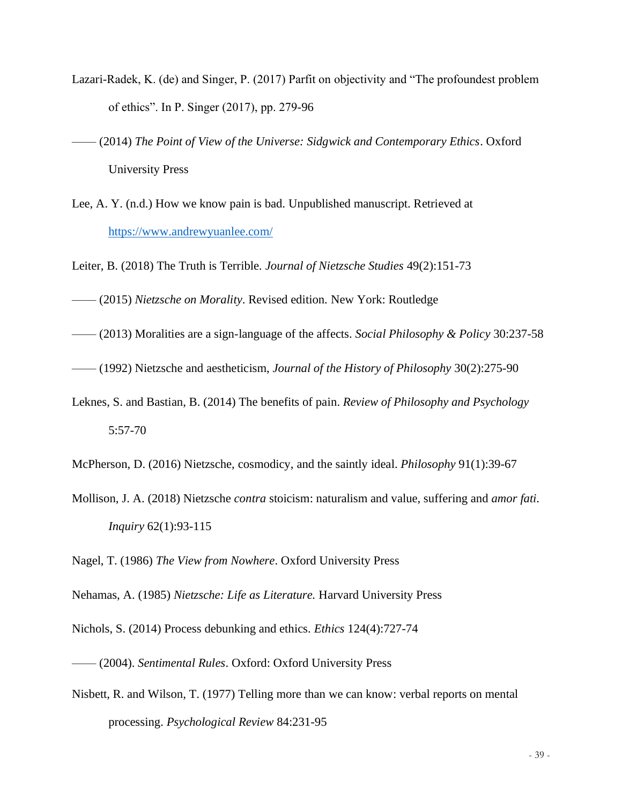- Lazari-Radek, K. (de) and Singer, P. (2017) Parfit on objectivity and "The profoundest problem of ethics". In P. Singer (2017), pp. 279-96
- –––– (2014) *The Point of View of the Universe: Sidgwick and Contemporary Ethics*. Oxford University Press
- Lee, A. Y. (n.d.) How we know pain is bad. Unpublished manuscript. Retrieved at <https://www.andrewyuanlee.com/>

Leiter, B. (2018) The Truth is Terrible. *Journal of Nietzsche Studies* 49(2):151-73

–––– (2015) *Nietzsche on Morality*. Revised edition. New York: Routledge

–––– (2013) Moralities are a sign-language of the affects. *Social Philosophy & Policy* 30:237-58

–––– (1992) Nietzsche and aestheticism, *Journal of the History of Philosophy* 30(2):275-90

Leknes, S. and Bastian, B. (2014) The benefits of pain. *Review of Philosophy and Psychology* 5:57-70

McPherson, D. (2016) Nietzsche, cosmodicy, and the saintly ideal. *Philosophy* 91(1):39-67

Mollison, J. A. (2018) Nietzsche *contra* stoicism: naturalism and value, suffering and *amor fati*. *Inquiry* 62(1):93-115

Nagel, T. (1986) *The View from Nowhere*. Oxford University Press

Nehamas, A. (1985) *Nietzsche: Life as Literature.* Harvard University Press

Nichols, S. (2014) Process debunking and ethics. *Ethics* 124(4):727-74

–––– (2004). *Sentimental Rules*. Oxford: Oxford University Press

Nisbett, R. and Wilson, T. (1977) Telling more than we can know: verbal reports on mental processing. *Psychological Review* 84:231-95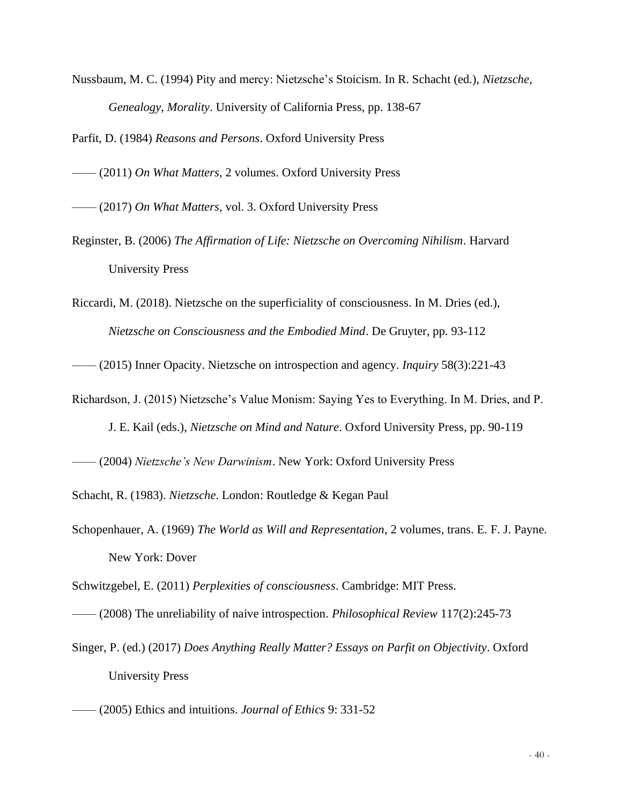Nussbaum, M. C. (1994) Pity and mercy: Nietzsche's Stoicism. In R. Schacht (ed.), *Nietzsche, Genealogy, Morality*. University of California Press, pp. 138-67

Parfit, D. (1984) *Reasons and Persons*. Oxford University Press

–––– (2011) *On What Matters,* 2 volumes. Oxford University Press

–––– (2017) *On What Matters,* vol. 3. Oxford University Press

- Reginster, B. (2006) *The Affirmation of Life: Nietzsche on Overcoming Nihilism*. Harvard University Press
- Riccardi, M. (2018). Nietzsche on the superficiality of consciousness. In M. Dries (ed.), *Nietzsche on Consciousness and the Embodied Mind*. De Gruyter, pp. 93-112

–––– (2015) Inner Opacity. Nietzsche on introspection and agency. *Inquiry* 58(3):221-43

Richardson, J. (2015) Nietzsche's Value Monism: Saying Yes to Everything. In M. Dries, and P.

J. E. Kail (eds.), *Nietzsche on Mind and Nature*. Oxford University Press, pp. 90-119

–––– (2004) *Nietzsche's New Darwinism*. New York: Oxford University Press

Schacht, R. (1983). *Nietzsche*. London: Routledge & Kegan Paul

Schopenhauer, A. (1969) *The World as Will and Representation*, 2 volumes, trans. E. F. J. Payne. New York: Dover

Schwitzgebel, E. (2011) *Perplexities of consciousness*. Cambridge: MIT Press.

–––– (2008) The unreliability of naive introspection. *Philosophical Review* 117(2):245-73

Singer, P. (ed.) (2017) *Does Anything Really Matter? Essays on Parfit on Objectivity*. Oxford University Press

<sup>––––</sup> (2005) Ethics and intuitions. *Journal of Ethics* 9: 331-52